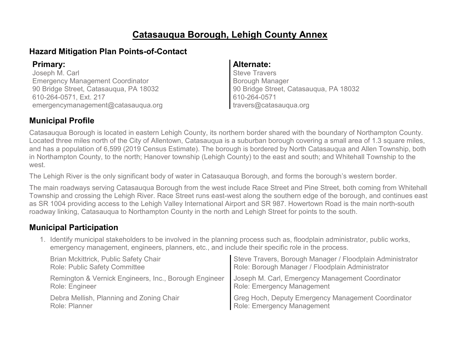#### **Catasauqua Borough, Lehigh County Annex**

#### **Hazard Mitigation Plan Points-of-Contact**

Joseph M. Carl Emergency Management Coordinator 90 Bridge Street, Catasauqua, PA 18032 610-264-0571, Ext. 217 emergencymanagement@catasauqua.org

#### **Primary: Alternate:**

Steve Travers Borough Manager 90 Bridge Street, Catasauqua, PA 18032 610-264-0571 travers@catasauqua.org

#### **Municipal Profile**

Catasauqua Borough is located in eastern Lehigh County, its northern border shared with the boundary of Northampton County. Located three miles north of the City of Allentown, Catasauqua is a suburban borough covering a small area of 1.3 square miles, and has a population of 6,599 (2019 Census Estimate). The borough is bordered by North Catasauqua and Allen Township, both in Northampton County, to the north; Hanover township (Lehigh County) to the east and south; and Whitehall Township to the west.

The Lehigh River is the only significant body of water in Catasauqua Borough, and forms the borough's western border.

The main roadways serving Catasauqua Borough from the west include Race Street and Pine Street, both coming from Whitehall Township and crossing the Lehigh River. Race Street runs east-west along the southern edge of the borough, and continues east as SR 1004 providing access to the Lehigh Valley International Airport and SR 987. Howertown Road is the main north-south roadway linking, Catasauqua to Northampton County in the north and Lehigh Street for points to the south.

#### **Municipal Participation**

1. Identify municipal stakeholders to be involved in the planning process such as, floodplain administrator, public works, emergency management, engineers, planners, etc., and include their specific role in the process.

| Brian Mckittrick, Public Safety Chair                 | Steve Travers, Borough Manager / Floodplain Administrator |
|-------------------------------------------------------|-----------------------------------------------------------|
| <b>Role: Public Safety Committee</b>                  | Role: Borough Manager / Floodplain Administrator          |
| Remington & Vernick Engineers, Inc., Borough Engineer | Joseph M. Carl, Emergency Management Coordinator          |
| Role: Engineer                                        | <b>Role: Emergency Management</b>                         |
| Debra Mellish, Planning and Zoning Chair              | Greg Hoch, Deputy Emergency Management Coordinator        |
| Role: Planner                                         | Role: Emergency Management                                |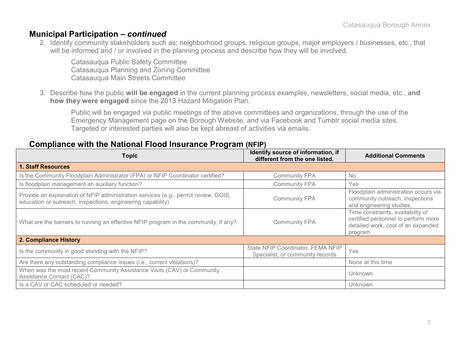#### **Municipal Participation –** *continued*

2. Identify community stakeholders such as; neighborhood groups, religious groups, major employers / businesses, etc., that will be informed and / or involved in the planning process and describe how they will be involved.

Catasauqua Public Safety Committee Catasauqua Planning and Zoning Committee Catasauqua Main Streets Committee

3. Describe how the public **will be engaged** in the current planning process examples, newsletters, social media, etc., **and how they were engaged** since the 2013 Hazard Mitigation Plan.

Public will be engaged via public meetings of the above committees and organizations, through the use of the Emergency Management page on the Borough Website, and via Facebook and Tumblr social media sites. Targeted or interested parties will also be kept abreast of activities via emails.

#### **Compliance with the National Flood Insurance Program (NFIP)**

| <b>Topic</b>                                                                                                                                      | Identify source of information, if<br>different from the one listed.  | <b>Additional Comments</b>                                                                                                |
|---------------------------------------------------------------------------------------------------------------------------------------------------|-----------------------------------------------------------------------|---------------------------------------------------------------------------------------------------------------------------|
| <b>1. Staff Resources</b>                                                                                                                         |                                                                       |                                                                                                                           |
| Is the Community Floodplain Administrator (FPA) or NFIP Coordinator certified?                                                                    | <b>Community FPA</b>                                                  | <b>No</b>                                                                                                                 |
| Is floodplain management an auxiliary function?                                                                                                   | <b>Community FPA</b>                                                  | Yes                                                                                                                       |
| Provide an explanation of NFIP administration services (e.g., permit review, GGIS,<br>education or outreach, inspections, engineering capability) | <b>Community FPA</b>                                                  | Floodplain administration occurs via<br>community outreach, inspections<br>and engineering studies.                       |
| What are the barriers to running an effective NFIP program in the community, if any?                                                              | <b>Community FPA</b>                                                  | Time constraints, availability of<br>certified personnel to perform more<br>detailed work, cost of an expanded<br>program |
| 2. Compliance History                                                                                                                             |                                                                       |                                                                                                                           |
| Is the community in good standing with the NFIP?                                                                                                  | State NFIP Coordinator, FEMA NFIP<br>Specialist, or community records | Yes                                                                                                                       |
| Are there any outstanding compliance issues (i.e., current violations)?                                                                           |                                                                       | None at this time                                                                                                         |
| When was the most recent Community Assistance Visits (CAV) or Community<br><b>Assistance Contact (CAC)?</b>                                       |                                                                       | Unknown                                                                                                                   |
| Is a CAV or CAC scheduled or needed?                                                                                                              |                                                                       | Unknown                                                                                                                   |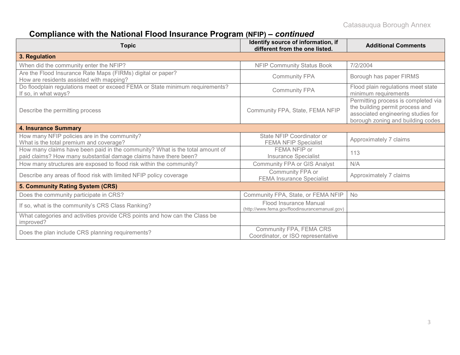# **Compliance with the National Flood Insurance Program (NFIP) –** *continued*

| <b>Topic</b>                                                                                                                                     | Identify source of information, if<br>different from the one listed.     | <b>Additional Comments</b>                                                                                                                        |
|--------------------------------------------------------------------------------------------------------------------------------------------------|--------------------------------------------------------------------------|---------------------------------------------------------------------------------------------------------------------------------------------------|
| 3. Regulation                                                                                                                                    |                                                                          |                                                                                                                                                   |
| When did the community enter the NFIP?                                                                                                           | <b>NFIP Community Status Book</b>                                        | 7/2/2004                                                                                                                                          |
| Are the Flood Insurance Rate Maps (FIRMs) digital or paper?<br>How are residents assisted with mapping?                                          | <b>Community FPA</b>                                                     | Borough has paper FIRMS                                                                                                                           |
| Do floodplain regulations meet or exceed FEMA or State minimum requirements?<br>If so, in what ways?                                             | <b>Community FPA</b>                                                     | Flood plain regulations meet state<br>minimum requirements                                                                                        |
| Describe the permitting process                                                                                                                  | Community FPA, State, FEMA NFIP                                          | Permitting process is completed via<br>the building permit process and<br>associated engineering studies for<br>borough zoning and building codes |
| <b>4. Insurance Summary</b>                                                                                                                      |                                                                          |                                                                                                                                                   |
| How many NFIP policies are in the community?<br>What is the total premium and coverage?                                                          | State NFIP Coordinator or<br><b>FEMA NFIP Specialist</b>                 | Approximately 7 claims                                                                                                                            |
| How many claims have been paid in the community? What is the total amount of<br>paid claims? How many substantial damage claims have there been? | FEMA NFIP or<br><b>Insurance Specialist</b>                              | 113                                                                                                                                               |
| How many structures are exposed to flood risk within the community?                                                                              | <b>Community FPA or GIS Analyst</b>                                      | N/A                                                                                                                                               |
| Describe any areas of flood risk with limited NFIP policy coverage                                                                               | Community FPA or<br><b>FEMA Insurance Specialist</b>                     | Approximately 7 claims                                                                                                                            |
| 5. Community Rating System (CRS)                                                                                                                 |                                                                          |                                                                                                                                                   |
| Does the community participate in CRS?                                                                                                           | Community FPA, State, or FEMA NFIP                                       | <b>No</b>                                                                                                                                         |
| If so, what is the community's CRS Class Ranking?                                                                                                | Flood Insurance Manual<br>(http://www.fema.gov/floodinsurancemanual.gov) |                                                                                                                                                   |
| What categories and activities provide CRS points and how can the Class be<br>improved?                                                          |                                                                          |                                                                                                                                                   |
| Does the plan include CRS planning requirements?                                                                                                 | Community FPA, FEMA CRS<br>Coordinator, or ISO representative            |                                                                                                                                                   |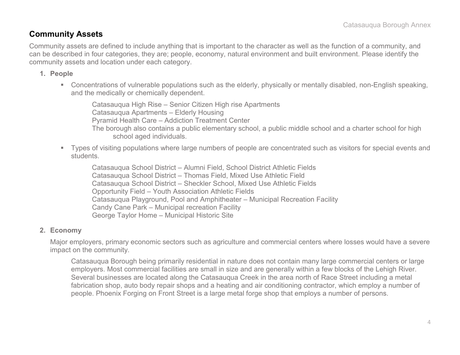#### **Community Assets**

Community assets are defined to include anything that is important to the character as well as the function of a community, and can be described in four categories, they are; people, economy, natural environment and built environment. Please identify the community assets and location under each category.

#### **1. People**

 Concentrations of vulnerable populations such as the elderly, physically or mentally disabled, non-English speaking, and the medically or chemically dependent.

Catasauqua High Rise – Senior Citizen High rise Apartments Catasauqua Apartments – Elderly Housing Pyramid Health Care – Addiction Treatment Center The borough also contains a public elementary school, a public middle school and a charter school for high school aged individuals.

 Types of visiting populations where large numbers of people are concentrated such as visitors for special events and students.

Catasauqua School District – Alumni Field, School District Athletic Fields Catasauqua School District – Thomas Field, Mixed Use Athletic Field Catasauqua School District – Sheckler School, Mixed Use Athletic Fields Opportunity Field – Youth Association Athletic Fields Catasauqua Playground, Pool and Amphitheater – Municipal Recreation Facility Candy Cane Park – Municipal recreation Facility George Taylor Home – Municipal Historic Site

#### **2. Economy**

Major employers, primary economic sectors such as agriculture and commercial centers where losses would have a severe impact on the community.

Catasauqua Borough being primarily residential in nature does not contain many large commercial centers or large employers. Most commercial facilities are small in size and are generally within a few blocks of the Lehigh River. Several businesses are located along the Catasauqua Creek in the area north of Race Street including a metal fabrication shop, auto body repair shops and a heating and air conditioning contractor, which employ a number of people. Phoenix Forging on Front Street is a large metal forge shop that employs a number of persons.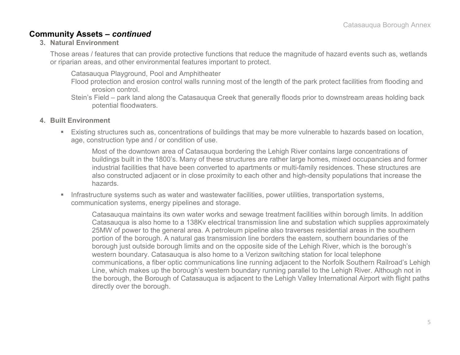#### **Community Assets –** *continued*

#### **3. Natural Environment**

Those areas / features that can provide protective functions that reduce the magnitude of hazard events such as, wetlands or riparian areas, and other environmental features important to protect.

Catasauqua Playground, Pool and Amphitheater

- Flood protection and erosion control walls running most of the length of the park protect facilities from flooding and erosion control.
- Stein's Field park land along the Catasauqua Creek that generally floods prior to downstream areas holding back potential floodwaters.
- **4. Built Environment**
	- Existing structures such as, concentrations of buildings that may be more vulnerable to hazards based on location, age, construction type and / or condition of use.

Most of the downtown area of Catasauqua bordering the Lehigh River contains large concentrations of buildings built in the 1800's. Many of these structures are rather large homes, mixed occupancies and former industrial facilities that have been converted to apartments or multi-family residences. These structures are also constructed adjacent or in close proximity to each other and high-density populations that increase the hazards.

**Infrastructure systems such as water and wastewater facilities, power utilities, transportation systems,** communication systems, energy pipelines and storage.

Catasauqua maintains its own water works and sewage treatment facilities within borough limits. In addition Catasauqua is also home to a 138Kv electrical transmission line and substation which supplies approximately 25MW of power to the general area. A petroleum pipeline also traverses residential areas in the southern portion of the borough. A natural gas transmission line borders the eastern, southern boundaries of the borough just outside borough limits and on the opposite side of the Lehigh River, which is the borough's western boundary. Catasauqua is also home to a Verizon switching station for local telephone communications, a fiber optic communications line running adjacent to the Norfolk Southern Railroad's Lehigh Line, which makes up the borough's western boundary running parallel to the Lehigh River. Although not in the borough, the Borough of Catasauqua is adjacent to the Lehigh Valley International Airport with flight paths directly over the borough.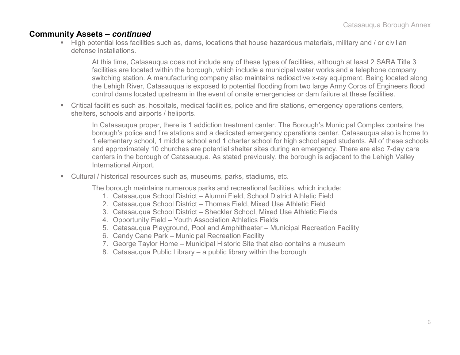#### **Community Assets –** *continued*

 High potential loss facilities such as, dams, locations that house hazardous materials, military and / or civilian defense installations.

At this time, Catasauqua does not include any of these types of facilities, although at least 2 SARA Title 3 facilities are located within the borough, which include a municipal water works and a telephone company switching station. A manufacturing company also maintains radioactive x-ray equipment. Being located along the Lehigh River, Catasauqua is exposed to potential flooding from two large Army Corps of Engineers flood control dams located upstream in the event of onsite emergencies or dam failure at these facilities.

 Critical facilities such as, hospitals, medical facilities, police and fire stations, emergency operations centers, shelters, schools and airports / heliports.

In Catasauqua proper, there is 1 addiction treatment center. The Borough's Municipal Complex contains the borough's police and fire stations and a dedicated emergency operations center. Catasauqua also is home to 1 elementary school, 1 middle school and 1 charter school for high school aged students. All of these schools and approximately 10 churches are potential shelter sites during an emergency. There are also 7-day care centers in the borough of Catasauqua. As stated previously, the borough is adjacent to the Lehigh Valley International Airport.

Cultural / historical resources such as, museums, parks, stadiums, etc.

The borough maintains numerous parks and recreational facilities, which include:

- 1. Catasauqua School District Alumni Field, School District Athletic Field
- 2. Catasauqua School District Thomas Field, Mixed Use Athletic Field
- 3. Catasauqua School District Sheckler School, Mixed Use Athletic Fields
- 4. Opportunity Field Youth Association Athletics Fields
- 5. Catasauqua Playground, Pool and Amphitheater Municipal Recreation Facility
- 6. Candy Cane Park Municipal Recreation Facility
- 7. George Taylor Home Municipal Historic Site that also contains a museum
- 8. Catasauqua Public Library a public library within the borough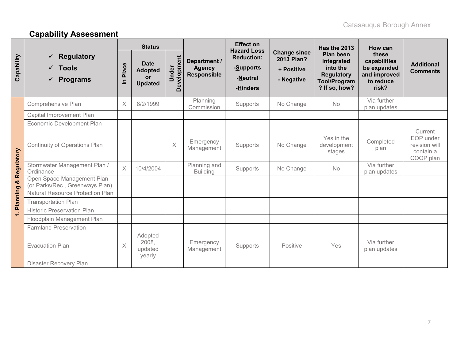# **Capability Assessment**

|            |                                                                                 | <b>Effect on</b><br><b>Status</b><br><b>Hazard Loss</b> |                                                              | Has the 2013         | How can                                      |                                                        |                                                               |                                                                                                  |                                                                            |                                                                 |
|------------|---------------------------------------------------------------------------------|---------------------------------------------------------|--------------------------------------------------------------|----------------------|----------------------------------------------|--------------------------------------------------------|---------------------------------------------------------------|--------------------------------------------------------------------------------------------------|----------------------------------------------------------------------------|-----------------------------------------------------------------|
| Capability | <b>Regulatory</b><br>✓<br><b>Tools</b><br>$\checkmark$<br>$\checkmark$ Programs | Place<br>르                                              | <b>Date</b><br><b>Adopted</b><br><b>or</b><br><b>Updated</b> | Development<br>Under | Department /<br><b>Agency</b><br>Responsible | <b>Reduction:</b><br>-Supports<br>-Neutral<br>-Hinders | <b>Change since</b><br>2013 Plan?<br>+ Positive<br>- Negative | Plan been<br>integrated<br>into the<br><b>Regulatory</b><br><b>Tool/Program</b><br>? If so, how? | these<br>capabilities<br>be expanded<br>and improved<br>to reduce<br>risk? | <b>Additional</b><br><b>Comments</b>                            |
|            | Comprehensive Plan                                                              | X                                                       | 8/2/1999                                                     |                      | Planning<br>Commission                       | Supports                                               | No Change                                                     | <b>No</b>                                                                                        | Via further<br>plan updates                                                |                                                                 |
|            | Capital Improvement Plan                                                        |                                                         |                                                              |                      |                                              |                                                        |                                                               |                                                                                                  |                                                                            |                                                                 |
| Regulatory | <b>Economic Development Plan</b>                                                |                                                         |                                                              |                      |                                              |                                                        |                                                               |                                                                                                  |                                                                            |                                                                 |
|            | <b>Continuity of Operations Plan</b>                                            |                                                         |                                                              | X                    | Emergency<br>Management                      | Supports                                               | No Change                                                     | Yes in the<br>development<br>stages                                                              | Completed<br>plan                                                          | Current<br>EOP under<br>revision will<br>contain a<br>COOP plan |
|            | Stormwater Management Plan /<br>Ordinance                                       | $\times$                                                | 10/4/2004                                                    |                      | Planning and<br><b>Building</b>              | Supports                                               | No Change                                                     | <b>No</b>                                                                                        | Via further<br>plan updates                                                |                                                                 |
| oð         | Open Space Management Plan<br>(or Parks/Rec., Greenways Plan)                   |                                                         |                                                              |                      |                                              |                                                        |                                                               |                                                                                                  |                                                                            |                                                                 |
|            | <b>Natural Resource Protection Plan</b>                                         |                                                         |                                                              |                      |                                              |                                                        |                                                               |                                                                                                  |                                                                            |                                                                 |
| Planning   | <b>Transportation Plan</b>                                                      |                                                         |                                                              |                      |                                              |                                                        |                                                               |                                                                                                  |                                                                            |                                                                 |
| $\div$     | <b>Historic Preservation Plan</b>                                               |                                                         |                                                              |                      |                                              |                                                        |                                                               |                                                                                                  |                                                                            |                                                                 |
|            | Floodplain Management Plan                                                      |                                                         |                                                              |                      |                                              |                                                        |                                                               |                                                                                                  |                                                                            |                                                                 |
|            | <b>Farmland Preservation</b>                                                    |                                                         |                                                              |                      |                                              |                                                        |                                                               |                                                                                                  |                                                                            |                                                                 |
|            | <b>Evacuation Plan</b>                                                          | $\times$                                                | Adopted<br>2008,<br>updated<br>yearly                        |                      | Emergency<br>Management                      | Supports                                               | Positive                                                      | Yes                                                                                              | Via further<br>plan updates                                                |                                                                 |
|            | Disaster Recovery Plan                                                          |                                                         |                                                              |                      |                                              |                                                        |                                                               |                                                                                                  |                                                                            |                                                                 |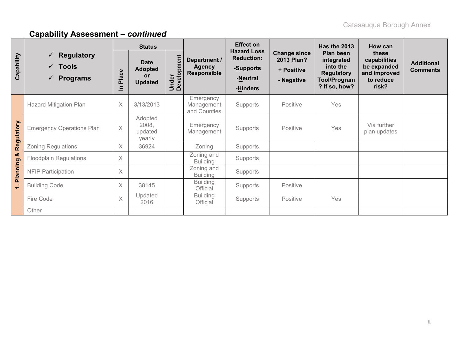|            |                                                                        | <b>Status</b>           |                                                       |                      |                                                     | <b>Effect on</b>                                                             |                                                                      | Has the 2013                                                                                     | How can                                                                    |                                      |
|------------|------------------------------------------------------------------------|-------------------------|-------------------------------------------------------|----------------------|-----------------------------------------------------|------------------------------------------------------------------------------|----------------------------------------------------------------------|--------------------------------------------------------------------------------------------------|----------------------------------------------------------------------------|--------------------------------------|
| Capability | $\checkmark$ Regulatory<br>$\checkmark$ Tools<br>$\checkmark$ Programs | Place<br>드              | <b>Date</b><br><b>Adopted</b><br>or<br><b>Updated</b> | Under<br>Development | Department /<br><b>Agency</b><br><b>Responsible</b> | <b>Hazard Loss</b><br><b>Reduction:</b><br>-Supports<br>-Neutral<br>-Hinders | <b>Change since</b><br><b>2013 Plan?</b><br>+ Positive<br>- Negative | Plan been<br>integrated<br>into the<br><b>Regulatory</b><br><b>Tool/Program</b><br>? If so, how? | these<br>capabilities<br>be expanded<br>and improved<br>to reduce<br>risk? | <b>Additional</b><br><b>Comments</b> |
|            | <b>Hazard Mitigation Plan</b>                                          | X                       | 3/13/2013                                             |                      | Emergency<br>Management<br>and Counties             | Supports                                                                     | Positive                                                             | Yes                                                                                              |                                                                            |                                      |
| Regulatory | <b>Emergency Operations Plan</b>                                       | $\times$                | Adopted<br>2008,<br>updated<br>yearly                 |                      | Emergency<br>Management                             | Supports                                                                     | Positive                                                             | Yes                                                                                              | Via further<br>plan updates                                                |                                      |
|            | Zoning Regulations                                                     | X                       | 36924                                                 |                      | Zoning                                              | Supports                                                                     |                                                                      |                                                                                                  |                                                                            |                                      |
| ಯ          | <b>Floodplain Regulations</b>                                          | X                       |                                                       |                      | Zoning and<br><b>Building</b>                       | Supports                                                                     |                                                                      |                                                                                                  |                                                                            |                                      |
| Planning   | <b>NFIP Participation</b>                                              | $\times$                |                                                       |                      | Zoning and<br><b>Building</b>                       | Supports                                                                     |                                                                      |                                                                                                  |                                                                            |                                      |
| $\div$     | <b>Building Code</b>                                                   | X                       | 38145                                                 |                      | <b>Building</b><br>Official                         | Supports                                                                     | Positive                                                             |                                                                                                  |                                                                            |                                      |
|            | Fire Code                                                              | $\overline{\mathsf{X}}$ | Updated<br>2016                                       |                      | <b>Building</b><br>Official                         | Supports                                                                     | Positive                                                             | Yes                                                                                              |                                                                            |                                      |
|            | Other                                                                  |                         |                                                       |                      |                                                     |                                                                              |                                                                      |                                                                                                  |                                                                            |                                      |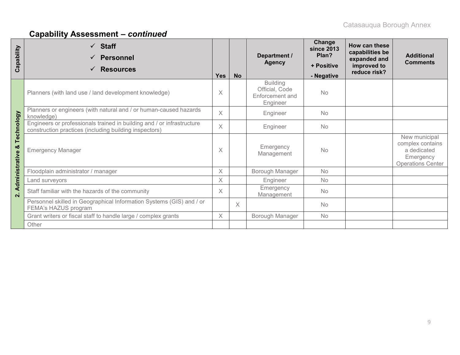| Capability          | <b>Staff</b><br>$\checkmark$<br><b>Personnel</b><br><b>Resources</b>                                                             | <b>Yes</b> | <b>No</b> | Department /<br><b>Agency</b>                                    | Change<br><b>since 2013</b><br>Plan?<br>+ Positive<br>- Negative | How can these<br>capabilities be<br>expanded and<br>improved to<br>reduce risk? | <b>Additional</b><br><b>Comments</b>                                                      |
|---------------------|----------------------------------------------------------------------------------------------------------------------------------|------------|-----------|------------------------------------------------------------------|------------------------------------------------------------------|---------------------------------------------------------------------------------|-------------------------------------------------------------------------------------------|
|                     | Planners (with land use / land development knowledge)                                                                            | $\times$   |           | <b>Building</b><br>Official, Code<br>Enforcement and<br>Engineer | <b>No</b>                                                        |                                                                                 |                                                                                           |
|                     | Planners or engineers (with natural and / or human-caused hazards<br>knowledge)                                                  | $\times$   |           | Engineer                                                         | <b>No</b>                                                        |                                                                                 |                                                                                           |
| Technology          | Engineers or professionals trained in building and / or infrastructure<br>construction practices (including building inspectors) | $\times$   |           | Engineer                                                         | <b>No</b>                                                        |                                                                                 |                                                                                           |
| ಯ<br>Administrative | <b>Emergency Manager</b>                                                                                                         |            |           | Emergency<br>Management                                          | <b>No</b>                                                        |                                                                                 | New municipal<br>complex contains<br>a dedicated<br>Emergency<br><b>Operations Center</b> |
|                     | Floodplain administrator / manager                                                                                               | $\times$   |           | Borough Manager                                                  | <b>No</b>                                                        |                                                                                 |                                                                                           |
|                     | Land surveyors                                                                                                                   | $\times$   |           | Engineer                                                         | <b>No</b>                                                        |                                                                                 |                                                                                           |
| $\dot{\mathbf{v}}$  | Staff familiar with the hazards of the community                                                                                 | $\times$   |           | Emergency<br>Management                                          | <b>No</b>                                                        |                                                                                 |                                                                                           |
|                     | Personnel skilled in Geographical Information Systems (GIS) and / or<br>FEMA's HAZUS program                                     |            | $\times$  |                                                                  | <b>No</b>                                                        |                                                                                 |                                                                                           |
|                     | Grant writers or fiscal staff to handle large / complex grants                                                                   | $\times$   |           | Borough Manager                                                  | <b>No</b>                                                        |                                                                                 |                                                                                           |
|                     | Other                                                                                                                            |            |           |                                                                  |                                                                  |                                                                                 |                                                                                           |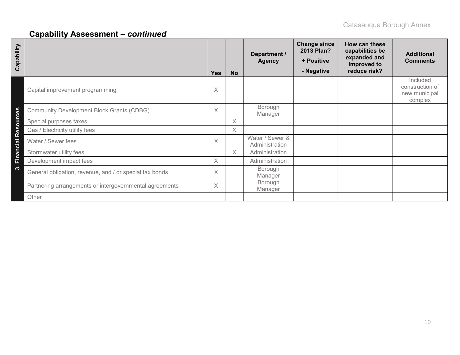| Capability                                                    | <b>Yes</b> | <b>No</b> | Department /<br><b>Agency</b>     | <b>Change since</b><br>2013 Plan?<br>+ Positive<br>- Negative | How can these<br>capabilities be<br>expanded and<br>improved to<br>reduce risk? | <b>Additional</b><br><b>Comments</b>                    |
|---------------------------------------------------------------|------------|-----------|-----------------------------------|---------------------------------------------------------------|---------------------------------------------------------------------------------|---------------------------------------------------------|
| Capital improvement programming                               | X          |           |                                   |                                                               |                                                                                 | Included<br>construction of<br>new municipal<br>complex |
| Resources<br><b>Community Development Block Grants (CDBG)</b> | $\times$   |           | Borough<br>Manager                |                                                               |                                                                                 |                                                         |
| Special purposes taxes                                        |            | X         |                                   |                                                               |                                                                                 |                                                         |
| Gas / Electricity utility fees                                |            | $\times$  |                                   |                                                               |                                                                                 |                                                         |
| Financial<br>Water / Sewer fees                               | $\times$   |           | Water / Sewer &<br>Administration |                                                               |                                                                                 |                                                         |
| Stormwater utility fees                                       |            | X         | Administration                    |                                                               |                                                                                 |                                                         |
| Development impact fees                                       | $\times$   |           | Administration                    |                                                               |                                                                                 |                                                         |
| ကဲ<br>General obligation, revenue, and / or special tax bonds | X          |           | Borough<br>Manager                |                                                               |                                                                                 |                                                         |
| Partnering arrangements or intergovernmental agreements       | $\times$   |           | Borough<br>Manager                |                                                               |                                                                                 |                                                         |
| Other                                                         |            |           |                                   |                                                               |                                                                                 |                                                         |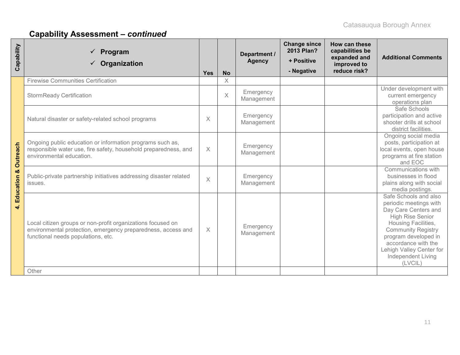| Capability        | Program<br>$\checkmark$ Organization                                                                                                                              | <b>Yes</b>        | <b>No</b> | Department /<br><b>Agency</b> | <b>Change since</b><br>2013 Plan?<br>+ Positive<br>- Negative | How can these<br>capabilities be<br>expanded and<br>improved to<br>reduce risk? | <b>Additional Comments</b>                                                                                                                                                                                                                                         |
|-------------------|-------------------------------------------------------------------------------------------------------------------------------------------------------------------|-------------------|-----------|-------------------------------|---------------------------------------------------------------|---------------------------------------------------------------------------------|--------------------------------------------------------------------------------------------------------------------------------------------------------------------------------------------------------------------------------------------------------------------|
|                   | <b>Firewise Communities Certification</b>                                                                                                                         |                   | $\times$  |                               |                                                               |                                                                                 |                                                                                                                                                                                                                                                                    |
|                   | <b>StormReady Certification</b>                                                                                                                                   |                   | $\times$  | Emergency<br>Management       |                                                               |                                                                                 | Under development with<br>current emergency<br>operations plan                                                                                                                                                                                                     |
|                   | Natural disaster or safety-related school programs                                                                                                                | $\times$          |           | Emergency<br>Management       |                                                               |                                                                                 | Safe Schools<br>participation and active<br>shooter drills at school<br>district facilities.                                                                                                                                                                       |
| Outreach          | Ongoing public education or information programs such as,<br>responsible water use, fire safety, household preparedness, and<br>environmental education.          | $\times$          |           | Emergency<br>Management       |                                                               |                                                                                 | Ongoing social media<br>posts, participation at<br>local events, open house<br>programs at fire station<br>and EOC                                                                                                                                                 |
| ಯ<br>4. Education | Public-private partnership initiatives addressing disaster related<br>issues.                                                                                     | $\overline{\chi}$ |           | Emergency<br>Management       |                                                               |                                                                                 | Communications with<br>businesses in flood<br>plains along with social<br>media postings.                                                                                                                                                                          |
|                   | Local citizen groups or non-profit organizations focused on<br>environmental protection, emergency preparedness, access and<br>functional needs populations, etc. | $\times$          |           | Emergency<br>Management       |                                                               |                                                                                 | Safe Schools and also<br>periodic meetings with<br>Day Care Centers and<br><b>High Rise Senior</b><br>Housing Facilities,<br><b>Community Registry</b><br>program developed in<br>accordance with the<br>Lehigh Valley Center for<br>Independent Living<br>(LVCIL) |
|                   | Other                                                                                                                                                             |                   |           |                               |                                                               |                                                                                 |                                                                                                                                                                                                                                                                    |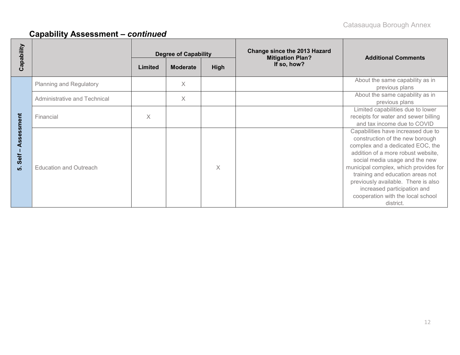| Capability |                                |         | <b>Degree of Capability</b>    |          | <b>Change since the 2013 Hazard</b><br><b>Mitigation Plan?</b> | <b>Additional Comments</b>                                                                                                                                                                                                                                                                                                                                                             |  |  |
|------------|--------------------------------|---------|--------------------------------|----------|----------------------------------------------------------------|----------------------------------------------------------------------------------------------------------------------------------------------------------------------------------------------------------------------------------------------------------------------------------------------------------------------------------------------------------------------------------------|--|--|
|            |                                | Limited | <b>High</b><br><b>Moderate</b> |          | If so, how?                                                    |                                                                                                                                                                                                                                                                                                                                                                                        |  |  |
|            | <b>Planning and Regulatory</b> |         | $\times$                       |          |                                                                | About the same capability as in<br>previous plans                                                                                                                                                                                                                                                                                                                                      |  |  |
|            | Administrative and Technical   |         | $\times$                       |          |                                                                | About the same capability as in<br>previous plans                                                                                                                                                                                                                                                                                                                                      |  |  |
| essment    | Financial                      | X       |                                |          |                                                                | Limited capabilities due to lower<br>receipts for water and sewer billing<br>and tax income due to COVID                                                                                                                                                                                                                                                                               |  |  |
| Self<br>ທ່ | <b>Education and Outreach</b>  |         |                                | $\times$ |                                                                | Capabilities have increased due to<br>construction of the new borough<br>complex and a dedicated EOC, the<br>addition of a more robust website,<br>social media usage and the new<br>municipal complex, which provides for<br>training and education areas not<br>previously available. There is also<br>increased participation and<br>cooperation with the local school<br>district. |  |  |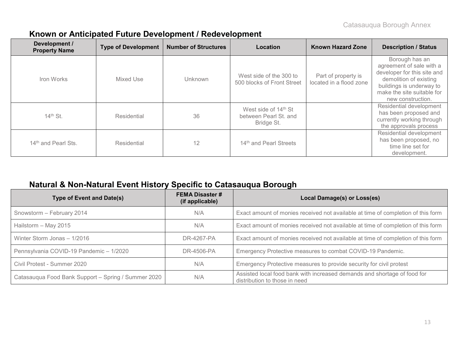| Development /<br><b>Property Name</b> | <b>Type of Development</b> | <b>Number of Structures</b> | Location                                                    | <b>Known Hazard Zone</b>                       | <b>Description / Status</b>                                                                                                                                                        |
|---------------------------------------|----------------------------|-----------------------------|-------------------------------------------------------------|------------------------------------------------|------------------------------------------------------------------------------------------------------------------------------------------------------------------------------------|
| Iron Works                            | Mixed Use                  | Unknown                     | West side of the 300 to<br>500 blocks of Front Street       | Part of property is<br>located in a flood zone | Borough has an<br>agreement of sale with a<br>developer for this site and<br>demolition of existing<br>buildings is underway to<br>make the site suitable for<br>new construction. |
| 14th St.                              | Residential                | 36                          | West side of 14th St<br>between Pearl St. and<br>Bridge St. |                                                | Residential development<br>has been proposed and<br>currently working through<br>the approvals process                                                                             |
| 14 <sup>th</sup> and Pearl Sts.       | Residential                | 12                          | 14th and Pearl Streets                                      |                                                | Residential development<br>has been proposed, no<br>time line set for<br>development.                                                                                              |

#### **Known or Anticipated Future Development / Redevelopment**

#### **Natural & Non-Natural Event History Specific to Catasauqua Borough**

| <b>Type of Event and Date(s)</b>                    | <b>FEMA Disaster#</b><br>(if applicable) | Local Damage(s) or Loss(es)                                                                               |
|-----------------------------------------------------|------------------------------------------|-----------------------------------------------------------------------------------------------------------|
| Snowstorm - February 2014                           | N/A                                      | Exact amount of monies received not available at time of completion of this form                          |
| Hailstorm - May 2015                                | N/A                                      | Exact amount of monies received not available at time of completion of this form                          |
| Winter Storm Jonas - 1/2016                         | DR-4267-PA                               | Exact amount of monies received not available at time of completion of this form                          |
| Pennsylvania COVID-19 Pandemic - 1/2020             | DR-4506-PA                               | Emergency Protective measures to combat COVID-19 Pandemic.                                                |
| Civil Protest - Summer 2020                         | N/A                                      | Emergency Protective measures to provide security for civil protest                                       |
| Catasauqua Food Bank Support - Spring / Summer 2020 | N/A                                      | Assisted local food bank with increased demands and shortage of food for<br>distribution to those in need |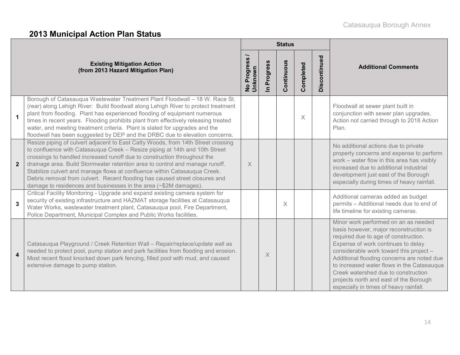# **2013 Municipal Action Plan Status**

|                         |                                                                                                                                                                                                                                                                                                                                                                                                                                                                                                                                                             |                        |                                     | <b>Status</b> |           |              |                                                                                                                                                                                                                                                                                                                                                                                                                                |
|-------------------------|-------------------------------------------------------------------------------------------------------------------------------------------------------------------------------------------------------------------------------------------------------------------------------------------------------------------------------------------------------------------------------------------------------------------------------------------------------------------------------------------------------------------------------------------------------------|------------------------|-------------------------------------|---------------|-----------|--------------|--------------------------------------------------------------------------------------------------------------------------------------------------------------------------------------------------------------------------------------------------------------------------------------------------------------------------------------------------------------------------------------------------------------------------------|
|                         | <b>Existing Mitigation Action</b><br>(from 2013 Hazard Mitigation Plan)                                                                                                                                                                                                                                                                                                                                                                                                                                                                                     | No Progress<br>Unknown | Progress<br>$\overline{\mathbf{z}}$ | Continuous    | Completed | Discontinued | <b>Additional Comments</b>                                                                                                                                                                                                                                                                                                                                                                                                     |
| $\mathbf{1}$            | Borough of Catasauqua Wastewater Treatment Plant Floodwall - 18 W. Race St.<br>(rear) along Lehigh River: Build floodwall along Lehigh River to protect treatment<br>plant from flooding. Plant has experienced flooding of equipment numerous<br>times in recent years. Flooding prohibits plant from effectively releasing treated<br>water, and meeting treatment criteria. Plant is slated for upgrades and the<br>floodwall has been suggested by DEP and the DRBC due to elevation concerns.                                                          |                        |                                     |               | $\times$  |              | Floodwall at sewer plant built in<br>conjunction with sewer plan upgrades.<br>Action not carried through to 2018 Action<br>Plan.                                                                                                                                                                                                                                                                                               |
| $\mathbf{2}$            | Resize piping of culvert adjacent to East Catty Woods, from 14th Street crossing<br>to confluence with Catasauqua Creek - Resize piping at 14th and 10th Street<br>crossings to handled increased runoff due to construction throughout the<br>drainage area. Build Stormwater retention area to control and manage runoff.<br>Stabilize culvert and manage flows at confluence within Catasauqua Creek.<br>Debris removal from culvert. Recent flooding has caused street closures and<br>damage to residences and businesses in the area (~\$2M damages). | $\times$               |                                     |               |           |              | No additional actions due to private<br>property concerns and expense to perform<br>work - water flow in this area has visibly<br>increased due to additional industrial<br>development just east of the Borough<br>especially during times of heavy rainfall.                                                                                                                                                                 |
| $\mathbf 3$             | Critical Facility Monitoring - Upgrade and expand existing camera system for<br>security of existing infrastructure and HAZMAT storage facilities at Catasauqua<br>Water Works, wastewater treatment plant, Catasauqua pool, Fire Department,<br>Police Department, Municipal Complex and Public Works facilities.                                                                                                                                                                                                                                          |                        |                                     | $\times$      |           |              | Additional cameras added as budget<br>permits - Additional needs due to end of<br>life timeline for existing cameras.                                                                                                                                                                                                                                                                                                          |
| $\overline{\mathbf{4}}$ | Catasauqua Playground / Creek Retention Wall - Repair/replace/update wall as<br>needed to protect pool, pump station and park facilities from flooding and erosion.<br>Most recent flood knocked down park fencing, filled pool with mud, and caused<br>extensive damage to pump station.                                                                                                                                                                                                                                                                   |                        | X                                   |               |           |              | Minor work performed on an as needed<br>basis however, major reconstruction is<br>required due to age of construction.<br>Expense of work continues to delay<br>considerable work toward this project -<br>Additional flooding concerns are noted due<br>to increased water flows in the Catasauqua<br>Creek watershed due to construction<br>projects north and east of the Borough<br>especially in times of heavy rainfall. |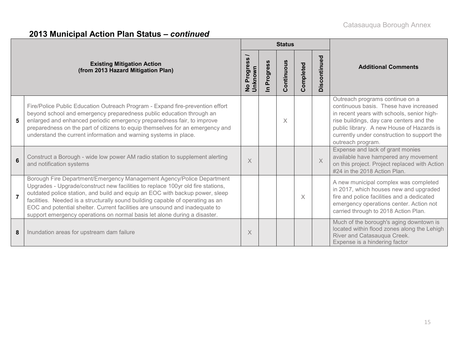|                |                                                                                                                                                                                                                                                                                                                                                                                                                                                                                        | <b>Status</b>                               |                            |                |           |              |                                                                                                                                                                                                                                                                                      |
|----------------|----------------------------------------------------------------------------------------------------------------------------------------------------------------------------------------------------------------------------------------------------------------------------------------------------------------------------------------------------------------------------------------------------------------------------------------------------------------------------------------|---------------------------------------------|----------------------------|----------------|-----------|--------------|--------------------------------------------------------------------------------------------------------------------------------------------------------------------------------------------------------------------------------------------------------------------------------------|
|                | <b>Existing Mitigation Action</b><br>(from 2013 Hazard Mitigation Plan)                                                                                                                                                                                                                                                                                                                                                                                                                | Progress<br><b>Unknown</b><br>$\frac{1}{2}$ | Progress<br>$\blacksquare$ | ontinuous<br>Õ | Completed | Discontinued | <b>Additional Comments</b>                                                                                                                                                                                                                                                           |
| 5              | Fire/Police Public Education Outreach Program - Expand fire-prevention effort<br>beyond school and emergency preparedness public education through an<br>enlarged and enhanced periodic emergency preparedness fair, to improve<br>preparedness on the part of citizens to equip themselves for an emergency and<br>understand the current information and warning systems in place.                                                                                                   |                                             |                            | $\times$       |           |              | Outreach programs continue on a<br>continuous basis. These have increased<br>in recent years with schools, senior high-<br>rise buildings, day care centers and the<br>public library. A new House of Hazards is<br>currently under construction to support the<br>outreach program. |
| 6              | Construct a Borough - wide low power AM radio station to supplement alerting<br>and notification systems                                                                                                                                                                                                                                                                                                                                                                               | X                                           |                            |                |           | $\times$     | Expense and lack of grant monies<br>available have hampered any movement<br>on this project. Project replaced with Action<br>#24 in the 2018 Action Plan.                                                                                                                            |
| $\overline{7}$ | Borough Fire Department/Emergency Management Agency/Police Department<br>Upgrades - Upgrade/construct new facilities to replace 100yr old fire stations,<br>outdated police station, and build and equip an EOC with backup power, sleep<br>facilities. Needed is a structurally sound building capable of operating as an<br>EOC and potential shelter. Current facilities are unsound and inadequate to<br>support emergency operations on normal basis let alone during a disaster. |                                             |                            |                | X         |              | A new municipal complex was completed<br>in 2017, which houses new and upgraded<br>fire and police facilities and a dedicated<br>emergency operations center. Action not<br>carried through to 2018 Action Plan.                                                                     |
| 8              | Inundation areas for upstream dam failure                                                                                                                                                                                                                                                                                                                                                                                                                                              | X                                           |                            |                |           |              | Much of the borough's aging downtown is<br>located within flood zones along the Lehigh<br>River and Catasauqua Creek.<br>Expense is a hindering factor                                                                                                                               |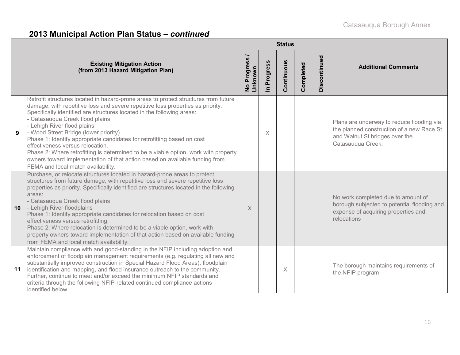|    |                                                                                                                                                                                                                                                                                                                                                                                                                                                                                                                                                                                                                                                                                        | <b>Status</b>          |             |            |           |              |                                                                                                                                               |
|----|----------------------------------------------------------------------------------------------------------------------------------------------------------------------------------------------------------------------------------------------------------------------------------------------------------------------------------------------------------------------------------------------------------------------------------------------------------------------------------------------------------------------------------------------------------------------------------------------------------------------------------------------------------------------------------------|------------------------|-------------|------------|-----------|--------------|-----------------------------------------------------------------------------------------------------------------------------------------------|
|    | <b>Existing Mitigation Action</b><br>(from 2013 Hazard Mitigation Plan)                                                                                                                                                                                                                                                                                                                                                                                                                                                                                                                                                                                                                | No Progress<br>Unknown | In Progress | Continuous | Completed | Discontinued | <b>Additional Comments</b>                                                                                                                    |
|    | Retrofit structures located in hazard-prone areas to protect structures from future<br>damage, with repetitive loss and severe repetitive loss properties as priority.<br>Specifically identified are structures located in the following areas:<br>- Catasauqua Creek flood plains<br>- Lehigh River flood plains<br>- Wood Street Bridge (lower priority)<br>Phase 1: Identify appropriate candidates for retrofitting based on cost<br>effectiveness versus relocation.<br>Phase 2: Where retrofitting is determined to be a viable option, work with property<br>owners toward implementation of that action based on available funding from<br>FEMA and local match availability. |                        | X           |            |           |              | Plans are underway to reduce flooding via<br>the planned construction of a new Race St<br>and Walnut St bridges over the<br>Catasauqua Creek. |
| 10 | Purchase, or relocate structures located in hazard-prone areas to protect<br>structures from future damage, with repetitive loss and severe repetitive loss<br>properties as priority. Specifically identified are structures located in the following<br>areas:<br>- Catasauqua Creek flood plains<br>- Lehigh River floodplains<br>Phase 1: Identify appropriate candidates for relocation based on cost<br>effectiveness versus retrofitting.<br>Phase 2: Where relocation is determined to be a viable option, work with<br>property owners toward implementation of that action based on available funding<br>from FEMA and local match availability.                             | X                      |             |            |           |              | No work completed due to amount of<br>borough subjected to potential flooding and<br>expense of acquiring properties and<br>relocations       |
| 11 | Maintain compliance with and good-standing in the NFIP including adoption and<br>enforcement of floodplain management requirements (e.g. regulating all new and<br>substantially improved construction in Special Hazard Flood Areas), floodplain<br>identification and mapping, and flood insurance outreach to the community.<br>Further, continue to meet and/or exceed the minimum NFIP standards and<br>criteria through the following NFIP-related continued compliance actions<br>identified below.                                                                                                                                                                             |                        |             | X          |           |              | The borough maintains requirements of<br>the NFIP program                                                                                     |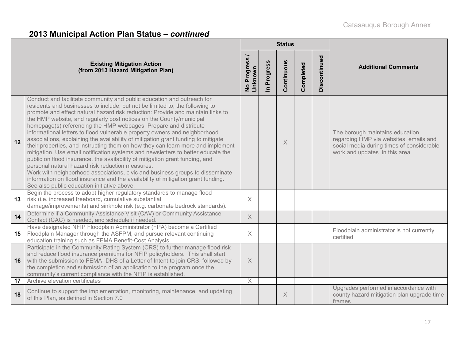|    |                                                                                                                                                                                                                                                                                                                                                                                                                                                                                                                                                                                                                                                                                                                                                                                                                                                                                                                                                                                                                                                                                        |                               |                            | <b>Status</b> |           |              |                                                                                                                                                         |
|----|----------------------------------------------------------------------------------------------------------------------------------------------------------------------------------------------------------------------------------------------------------------------------------------------------------------------------------------------------------------------------------------------------------------------------------------------------------------------------------------------------------------------------------------------------------------------------------------------------------------------------------------------------------------------------------------------------------------------------------------------------------------------------------------------------------------------------------------------------------------------------------------------------------------------------------------------------------------------------------------------------------------------------------------------------------------------------------------|-------------------------------|----------------------------|---------------|-----------|--------------|---------------------------------------------------------------------------------------------------------------------------------------------------------|
|    | <b>Existing Mitigation Action</b><br>(from 2013 Hazard Mitigation Plan)                                                                                                                                                                                                                                                                                                                                                                                                                                                                                                                                                                                                                                                                                                                                                                                                                                                                                                                                                                                                                | No Progress<br><b>Unknown</b> | Progress<br>$\overline{=}$ | Continuous    | Completed | Discontinued | <b>Additional Comments</b>                                                                                                                              |
| 12 | Conduct and facilitate community and public education and outreach for<br>residents and businesses to include, but not be limited to, the following to<br>promote and effect natural hazard risk reduction: Provide and maintain links to<br>the HMP website, and regularly post notices on the County/municipal<br>homepage(s) referencing the HMP webpages. Prepare and distribute<br>informational letters to flood vulnerable property owners and neighborhood<br>associations, explaining the availability of mitigation grant funding to mitigate<br>their properties, and instructing them on how they can learn more and implement<br>mitigation. Use email notification systems and newsletters to better educate the<br>public on flood insurance, the availability of mitigation grant funding, and<br>personal natural hazard risk reduction measures.<br>Work with neighborhood associations, civic and business groups to disseminate<br>information on flood insurance and the availability of mitigation grant funding.<br>See also public education initiative above. |                               |                            | $\times$      |           |              | The borough maintains education<br>regarding HMP via websites, emails and<br>social media during times of considerable<br>work and updates in this area |
| 13 | Begin the process to adopt higher regulatory standards to manage flood<br>risk (i.e. increased freeboard, cumulative substantial<br>damage/improvements) and sinkhole risk (e.g. carbonate bedrock standards).                                                                                                                                                                                                                                                                                                                                                                                                                                                                                                                                                                                                                                                                                                                                                                                                                                                                         | $\times$                      |                            |               |           |              |                                                                                                                                                         |
| 14 | Determine if a Community Assistance Visit (CAV) or Community Assistance<br>Contact (CAC) is needed, and schedule if needed.                                                                                                                                                                                                                                                                                                                                                                                                                                                                                                                                                                                                                                                                                                                                                                                                                                                                                                                                                            | $\chi$                        |                            |               |           |              |                                                                                                                                                         |
| 15 | Have designated NFIP Floodplain Administrator (FPA) become a Certified<br>Floodplain Manager through the ASFPM, and pursue relevant continuing<br>education training such as FEMA Benefit-Cost Analysis.                                                                                                                                                                                                                                                                                                                                                                                                                                                                                                                                                                                                                                                                                                                                                                                                                                                                               | $\times$                      |                            |               |           |              | Floodplain administrator is not currently<br>certified                                                                                                  |
| 16 | Participate in the Community Rating System (CRS) to further manage flood risk<br>and reduce flood insurance premiums for NFIP policyholders. This shall start<br>with the submission to FEMA- DHS of a Letter of Intent to join CRS, followed by<br>the completion and submission of an application to the program once the<br>community's current compliance with the NFIP is established                                                                                                                                                                                                                                                                                                                                                                                                                                                                                                                                                                                                                                                                                             | $\times$                      |                            |               |           |              |                                                                                                                                                         |
| 17 | Archive elevation certificates                                                                                                                                                                                                                                                                                                                                                                                                                                                                                                                                                                                                                                                                                                                                                                                                                                                                                                                                                                                                                                                         | X                             |                            |               |           |              |                                                                                                                                                         |
| 18 | Continue to support the implementation, monitoring, maintenance, and updating<br>of this Plan, as defined in Section 7.0                                                                                                                                                                                                                                                                                                                                                                                                                                                                                                                                                                                                                                                                                                                                                                                                                                                                                                                                                               |                               |                            | $\times$      |           |              | Upgrades performed in accordance with<br>county hazard mitigation plan upgrade time<br>frames                                                           |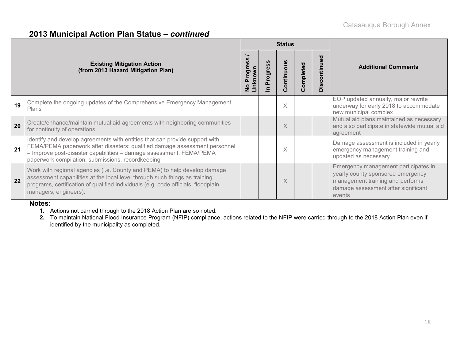|    |                                                                                                                                                                                                                                                                                       | <b>Status</b> |         |                |           |                                 |                                                                                                                                                                |
|----|---------------------------------------------------------------------------------------------------------------------------------------------------------------------------------------------------------------------------------------------------------------------------------------|---------------|---------|----------------|-----------|---------------------------------|----------------------------------------------------------------------------------------------------------------------------------------------------------------|
|    | <b>Existing Mitigation Action</b><br>(from 2013 Hazard Mitigation Plan)                                                                                                                                                                                                               | rogr<br>õ     | rogress | ontinuous<br>Ω | Completed | ್ಠಾ<br>€<br>$\circ$<br>isc<br>≏ | <b>Additional Comments</b>                                                                                                                                     |
| 19 | Complete the ongoing updates of the Comprehensive Emergency Management<br><b>Plans</b>                                                                                                                                                                                                |               |         | X              |           |                                 | EOP updated annually, major rewrite<br>underway for early 2018 to accommodate<br>new municipal complex                                                         |
| 20 | Create/enhance/maintain mutual aid agreements with neighboring communities<br>for continuity of operations.                                                                                                                                                                           |               |         | $\times$       |           |                                 | Mutual aid plans maintained as necessary<br>and also participate in statewide mutual aid<br>agreement                                                          |
| 21 | Identify and develop agreements with entities that can provide support with<br>FEMA/PEMA paperwork after disasters; qualified damage assessment personnel<br>- Improve post-disaster capabilities - damage assessment; FEMA/PEMA<br>paperwork compilation, submissions, recordkeeping |               |         | X              |           |                                 | Damage assessment is included in yearly<br>emergency management training and<br>updated as necessary                                                           |
| 22 | Work with regional agencies (i.e. County and PEMA) to help develop damage<br>assessment capabilities at the local level through such things as training<br>programs, certification of qualified individuals (e.g. code officials, floodplain<br>managers, engineers).                 |               |         | X              |           |                                 | Emergency management participates in<br>yearly county sponsored emergency<br>management training and performs<br>damage assessment after significant<br>events |

#### **Notes:**

- **1.** Actions not carried through to the 2018 Action Plan are so noted.
- **2.** To maintain National Flood Insurance Program (NFIP) compliance, actions related to the NFIP were carried through to the 2018 Action Plan even if identified by the municipality as completed.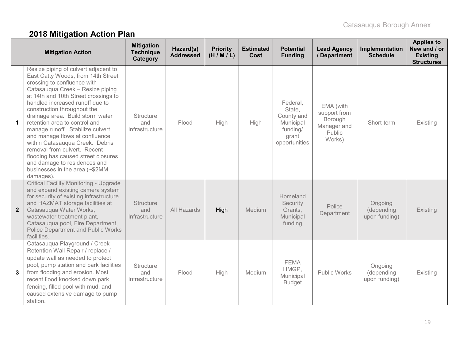# **2018 Mitigation Action Plan**

|                | <b>Mitigation Action</b>                                                                                                                                                                                                                                                                                                                                                                                                                                                                                                                                                                   | <b>Mitigation</b><br><b>Technique</b><br>Category | Hazard(s)<br><b>Addressed</b> | <b>Priority</b><br>(H/M/L) | <b>Estimated</b><br>Cost | <b>Potential</b><br><b>Funding</b>                                                  | <b>Lead Agency</b><br>/ Department                                      | Implementation<br><b>Schedule</b>      | <b>Applies to</b><br>New and / or<br><b>Existing</b><br><b>Structures</b> |
|----------------|--------------------------------------------------------------------------------------------------------------------------------------------------------------------------------------------------------------------------------------------------------------------------------------------------------------------------------------------------------------------------------------------------------------------------------------------------------------------------------------------------------------------------------------------------------------------------------------------|---------------------------------------------------|-------------------------------|----------------------------|--------------------------|-------------------------------------------------------------------------------------|-------------------------------------------------------------------------|----------------------------------------|---------------------------------------------------------------------------|
| $\mathbf 1$    | Resize piping of culvert adjacent to<br>East Catty Woods, from 14th Street<br>crossing to confluence with<br>Catasauqua Creek - Resize piping<br>at 14th and 10th Street crossings to<br>handled increased runoff due to<br>construction throughout the<br>drainage area. Build storm water<br>retention area to control and<br>manage runoff. Stabilize culvert<br>and manage flows at confluence<br>within Catasauqua Creek. Debris<br>removal from culvert. Recent<br>flooding has caused street closures<br>and damage to residences and<br>businesses in the area (~\$2MM<br>damages) | <b>Structure</b><br>and<br>Infrastructure         | Flood                         | High                       | High                     | Federal,<br>State,<br>County and<br>Municipal<br>funding/<br>grant<br>opportunities | EMA (with<br>support from<br>Borough<br>Manager and<br>Public<br>Works) | Short-term                             | Existing                                                                  |
| $\overline{2}$ | <b>Critical Facility Monitoring - Upgrade</b><br>and expand existing camera system<br>for security of existing infrastructure<br>and HAZMAT storage facilities at<br>Catasauqua Water Works,<br>wastewater treatment plant,<br>Catasauqua pool, Fire Department,<br>Police Department and Public Works<br>facilities.                                                                                                                                                                                                                                                                      | <b>Structure</b><br>and<br>Infrastructure         | All Hazards                   | High                       | Medium                   | Homeland<br>Security<br>Grants,<br>Municipal<br>funding                             | Police<br>Department                                                    | Ongoing<br>(depending<br>upon funding) | Existing                                                                  |
| 3              | Catasauqua Playground / Creek<br>Retention Wall Repair / replace /<br>update wall as needed to protect<br>pool, pump station and park facilities<br>from flooding and erosion. Most<br>recent flood knocked down park<br>fencing, filled pool with mud, and<br>caused extensive damage to pump<br>station.                                                                                                                                                                                                                                                                                 | <b>Structure</b><br>and<br>Infrastructure         | Flood                         | High                       | Medium                   | <b>FEMA</b><br>HMGP,<br>Municipal<br><b>Budget</b>                                  | <b>Public Works</b>                                                     | Ongoing<br>(depending<br>upon funding) | Existing                                                                  |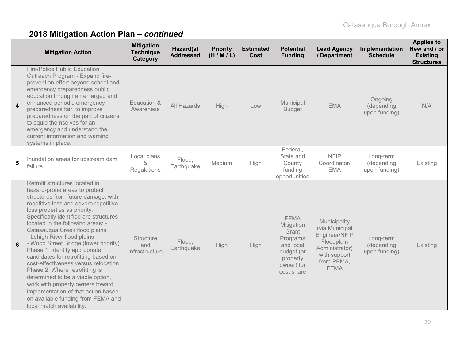|                  | <b>Mitigation Action</b>                                                                                                                                                                                                                                                                                                                                                                                                                                                                                                                                                                                                                                                                                       | <b>Mitigation</b><br><b>Technique</b><br>Category | Hazard(s)<br><b>Addressed</b> | <b>Priority</b><br>(H/M/L) | <b>Estimated</b><br>Cost | <b>Potential</b><br><b>Funding</b>                                                                                | <b>Lead Agency</b><br>/ Department                                                                                           | Implementation<br><b>Schedule</b>        | <b>Applies to</b><br>New and / or<br><b>Existing</b><br><b>Structures</b> |
|------------------|----------------------------------------------------------------------------------------------------------------------------------------------------------------------------------------------------------------------------------------------------------------------------------------------------------------------------------------------------------------------------------------------------------------------------------------------------------------------------------------------------------------------------------------------------------------------------------------------------------------------------------------------------------------------------------------------------------------|---------------------------------------------------|-------------------------------|----------------------------|--------------------------|-------------------------------------------------------------------------------------------------------------------|------------------------------------------------------------------------------------------------------------------------------|------------------------------------------|---------------------------------------------------------------------------|
| $\boldsymbol{4}$ | <b>Fire/Police Public Education</b><br>Outreach Program - Expand fire-<br>prevention effort beyond school and<br>emergency preparedness public<br>education through an enlarged and<br>enhanced periodic emergency<br>preparedness fair, to improve<br>preparedness on the part of citizens<br>to equip themselves for an<br>emergency and understand the<br>current information and warning<br>systems in place.                                                                                                                                                                                                                                                                                              | Education &<br>Awareness                          | All Hazards                   | High                       | Low                      | Municipal<br><b>Budget</b>                                                                                        | <b>EMA</b>                                                                                                                   | Ongoing<br>(depending<br>upon funding)   | N/A                                                                       |
| $5\phantom{1}$   | Inundation areas for upstream dam<br>failure                                                                                                                                                                                                                                                                                                                                                                                                                                                                                                                                                                                                                                                                   | Local plans<br>Regulations                        | Flood,<br>Earthquake          | Medium                     | High                     | Federal,<br>State and<br>County<br>funding<br>opportunities                                                       | <b>NFIP</b><br>Coordinator/<br><b>EMA</b>                                                                                    | Long-term<br>(depending<br>upon funding) | Existing                                                                  |
| 6                | Retrofit structures located in<br>hazard-prone areas to protect<br>structures from future damage, with<br>repetitive loss and severe repetitive<br>loss properties as priority.<br>Specifically identified are structures<br>located in the following areas: -<br>Catasauqua Creek flood plains<br>- Lehigh River flood plains<br>- Wood Street Bridge (lower priority)<br>Phase 1: Identify appropriate<br>candidates for retrofitting based on<br>cost-effectiveness versus relocation.<br>Phase 2: Where retrofitting is<br>determined to be a viable option,<br>work with property owners toward<br>implementation of that action based<br>on available funding from FEMA and<br>local match availability. | <b>Structure</b><br>and<br>Infrastructure         | Flood,<br>Earthquake          | High                       | High                     | <b>FEMA</b><br>Mitigation<br>Grant<br>Programs<br>and local<br>budget (or<br>property<br>owner) for<br>cost share | Municipality<br>(via Municipal<br>Engineer/NFIP<br>Floodplain<br>Administrator)<br>with support<br>from PEMA,<br><b>FEMA</b> | Long-term<br>(depending<br>upon funding) | Existing                                                                  |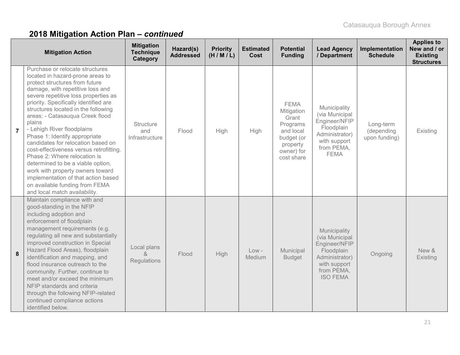|                | <b>Mitigation Action</b>                                                                                                                                                                                                                                                                                                                                                                                                                                                                                                                                                                                                                                                          | <b>Mitigation</b><br><b>Technique</b><br>Category | Hazard(s)<br><b>Addressed</b> | <b>Priority</b><br>(H/M/L) | <b>Estimated</b><br>Cost | <b>Potential</b><br><b>Funding</b>                                                                                | <b>Lead Agency</b><br>/ Department                                                                                               | Implementation<br><b>Schedule</b>        | <b>Applies to</b><br>New and / or<br><b>Existing</b><br><b>Structures</b> |
|----------------|-----------------------------------------------------------------------------------------------------------------------------------------------------------------------------------------------------------------------------------------------------------------------------------------------------------------------------------------------------------------------------------------------------------------------------------------------------------------------------------------------------------------------------------------------------------------------------------------------------------------------------------------------------------------------------------|---------------------------------------------------|-------------------------------|----------------------------|--------------------------|-------------------------------------------------------------------------------------------------------------------|----------------------------------------------------------------------------------------------------------------------------------|------------------------------------------|---------------------------------------------------------------------------|
| $\overline{7}$ | Purchase or relocate structures<br>located in hazard-prone areas to<br>protect structures from future<br>damage, with repetitive loss and<br>severe repetitive loss properties as<br>priority. Specifically identified are<br>structures located in the following<br>areas: - Catasauqua Creek flood<br>plains<br>- Lehigh River floodplains<br>Phase 1: Identify appropriate<br>candidates for relocation based on<br>cost-effectiveness versus retrofitting.<br>Phase 2: Where relocation is<br>determined to be a viable option,<br>work with property owners toward<br>implementation of that action based<br>on available funding from FEMA<br>and local match availability. | <b>Structure</b><br>and<br>Infrastructure         | Flood                         | High                       | High                     | <b>FEMA</b><br>Mitigation<br>Grant<br>Programs<br>and local<br>budget (or<br>property<br>owner) for<br>cost share | Municipality<br>(via Municipal<br>Engineer/NFIP<br>Floodplain<br>Administrator)<br>with support<br>from PEMA,<br><b>FEMA</b>     | Long-term<br>(depending<br>upon funding) | Existing                                                                  |
| 8              | Maintain compliance with and<br>good-standing in the NFIP<br>including adoption and<br>enforcement of floodplain<br>management requirements (e.g.<br>regulating all new and substantially<br>improved construction in Special<br>Hazard Flood Areas), floodplain<br>identification and mapping, and<br>flood insurance outreach to the<br>community. Further, continue to<br>meet and/or exceed the minimum<br>NFIP standards and criteria<br>through the following NFIP-related<br>continued compliance actions<br>identified below.                                                                                                                                             | Local plans<br>$\lambda$<br>Regulations           | Flood                         | High                       | $Low -$<br>Medium        | Municipal<br><b>Budget</b>                                                                                        | Municipality<br>(via Municipal<br>Engineer/NFIP<br>Floodplain<br>Administrator)<br>with support<br>from PEMA,<br><b>ISO FEMA</b> | Ongoing                                  | New &<br>Existing                                                         |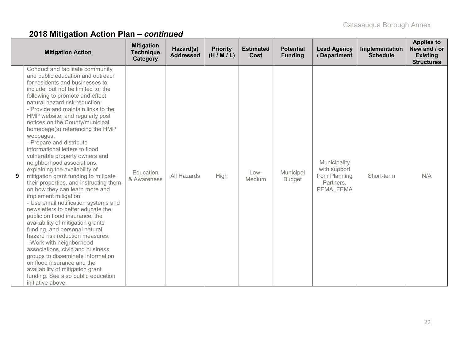|   | <b>Mitigation Action</b>                                                                                                                                                                                                                                                                                                                                                                                                                                                                                                                                                                                                                                                                                                                                                                                                                                                                                                                                                                                                                                                                                                                                 | <b>Mitigation</b><br><b>Technique</b><br>Category | Hazard(s)<br><b>Addressed</b> | <b>Priority</b><br>(H/M/L) | <b>Estimated</b><br>Cost | <b>Potential</b><br><b>Funding</b> | <b>Lead Agency</b><br>/ Department                                       | Implementation<br><b>Schedule</b> | <b>Applies to</b><br>New and / or<br><b>Existing</b><br><b>Structures</b> |
|---|----------------------------------------------------------------------------------------------------------------------------------------------------------------------------------------------------------------------------------------------------------------------------------------------------------------------------------------------------------------------------------------------------------------------------------------------------------------------------------------------------------------------------------------------------------------------------------------------------------------------------------------------------------------------------------------------------------------------------------------------------------------------------------------------------------------------------------------------------------------------------------------------------------------------------------------------------------------------------------------------------------------------------------------------------------------------------------------------------------------------------------------------------------|---------------------------------------------------|-------------------------------|----------------------------|--------------------------|------------------------------------|--------------------------------------------------------------------------|-----------------------------------|---------------------------------------------------------------------------|
| 9 | Conduct and facilitate community<br>and public education and outreach<br>for residents and businesses to<br>include, but not be limited to, the<br>following to promote and effect<br>natural hazard risk reduction:<br>- Provide and maintain links to the<br>HMP website, and regularly post<br>notices on the County/municipal<br>homepage(s) referencing the HMP<br>webpages.<br>- Prepare and distribute<br>informational letters to flood<br>vulnerable property owners and<br>neighborhood associations,<br>explaining the availability of<br>mitigation grant funding to mitigate<br>their properties, and instructing them<br>on how they can learn more and<br>implement mitigation.<br>- Use email notification systems and<br>newsletters to better educate the<br>public on flood insurance, the<br>availability of mitigation grants<br>funding, and personal natural<br>hazard risk reduction measures.<br>- Work with neighborhood<br>associations, civic and business<br>groups to disseminate information<br>on flood insurance and the<br>availability of mitigation grant<br>funding. See also public education<br>initiative above. | Education<br>& Awareness                          | All Hazards                   | High                       | Low-<br>Medium           | Municipal<br><b>Budget</b>         | Municipality<br>with support<br>from Planning<br>Partners,<br>PEMA, FEMA | Short-term                        | N/A                                                                       |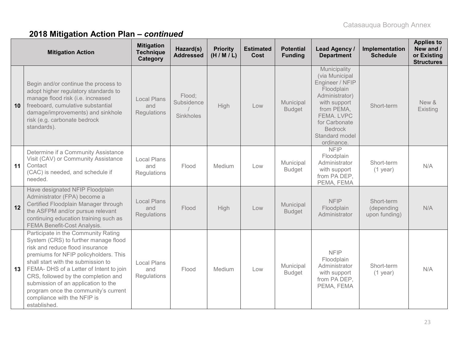|    | <b>Mitigation Action</b>                                                                                                                                                                                                                                                                                                                                                                                      | <b>Mitigation</b><br><b>Technique</b><br>Category | Hazard(s)<br><b>Addressed</b>     | <b>Priority</b><br>(H/M/L) | <b>Estimated</b><br>Cost | <b>Potential</b><br><b>Funding</b> | <b>Lead Agency /</b><br><b>Department</b>                                                                                                                                                        | Implementation<br><b>Schedule</b>         | <b>Applies to</b><br>New and /<br>or Existing<br><b>Structures</b> |
|----|---------------------------------------------------------------------------------------------------------------------------------------------------------------------------------------------------------------------------------------------------------------------------------------------------------------------------------------------------------------------------------------------------------------|---------------------------------------------------|-----------------------------------|----------------------------|--------------------------|------------------------------------|--------------------------------------------------------------------------------------------------------------------------------------------------------------------------------------------------|-------------------------------------------|--------------------------------------------------------------------|
| 10 | Begin and/or continue the process to<br>adopt higher regulatory standards to<br>manage flood risk (i.e. increased<br>freeboard, cumulative substantial<br>damage/improvements) and sinkhole<br>risk (e.g. carbonate bedrock<br>standards).                                                                                                                                                                    | <b>Local Plans</b><br>and<br>Regulations          | Flood;<br>Subsidence<br>Sinkholes | High                       | Low                      | Municipal<br><b>Budget</b>         | Municipality<br>(via Municipal<br>Engineer / NFIP<br>Floodplain<br>Administrator)<br>with support<br>from PEMA,<br>FEMA, LVPC<br>for Carbonate<br><b>Bedrock</b><br>Standard model<br>ordinance. | Short-term                                | New &<br>Existing                                                  |
| 11 | Determine if a Community Assistance<br>Visit (CAV) or Community Assistance<br>Contact<br>(CAC) is needed, and schedule if<br>needed.                                                                                                                                                                                                                                                                          | <b>Local Plans</b><br>and<br>Regulations          | Flood                             | Medium                     | Low                      | Municipal<br><b>Budget</b>         | <b>NFIP</b><br>Floodplain<br>Administrator<br>with support<br>from PA DEP,<br>PEMA, FEMA                                                                                                         | Short-term<br>$(1$ year)                  | N/A                                                                |
| 12 | Have designated NFIP Floodplain<br>Administrator (FPA) become a<br>Certified Floodplain Manager through<br>the ASFPM and/or pursue relevant<br>continuing education training such as<br><b>FEMA Benefit-Cost Analysis.</b>                                                                                                                                                                                    | <b>Local Plans</b><br>and<br>Regulations          | Flood                             | High                       | Low                      | Municipal<br><b>Budget</b>         | <b>NFIP</b><br>Floodplain<br>Administrator                                                                                                                                                       | Short-term<br>(depending<br>upon funding) | N/A                                                                |
| 13 | Participate in the Community Rating<br>System (CRS) to further manage flood<br>risk and reduce flood insurance<br>premiums for NFIP policyholders. This<br>shall start with the submission to<br>FEMA- DHS of a Letter of Intent to join<br>CRS, followed by the completion and<br>submission of an application to the<br>program once the community's current<br>compliance with the NFIP is<br>established. | Local Plans<br>and<br>Regulations                 | Flood                             | Medium                     | Low                      | Municipal<br><b>Budget</b>         | <b>NFIP</b><br>Floodplain<br>Administrator<br>with support<br>from PA DEP,<br>PEMA, FEMA                                                                                                         | Short-term<br>$(1$ year)                  | N/A                                                                |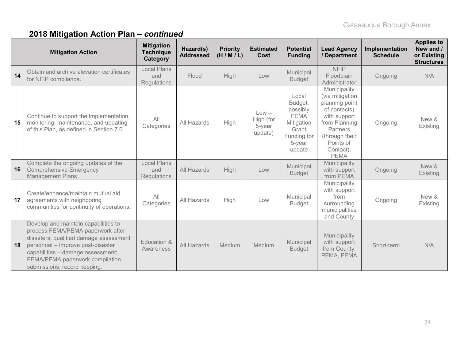|    | <b>Mitigation Action</b>                                                                                                                                                                                                                                          | <b>Mitigation</b><br><b>Technique</b><br>Category | Hazard(s)<br><b>Addressed</b> | <b>Priority</b><br>(H/M/L) | <b>Estimated</b><br>Cost                  | <b>Potential</b><br><b>Funding</b>                                                                    | <b>Lead Agency</b><br>/ Department                                                                                                                                        | Implementation<br><b>Schedule</b> | <b>Applies to</b><br>New and /<br>or Existing<br><b>Structures</b> |
|----|-------------------------------------------------------------------------------------------------------------------------------------------------------------------------------------------------------------------------------------------------------------------|---------------------------------------------------|-------------------------------|----------------------------|-------------------------------------------|-------------------------------------------------------------------------------------------------------|---------------------------------------------------------------------------------------------------------------------------------------------------------------------------|-----------------------------------|--------------------------------------------------------------------|
| 14 | Obtain and archive elevation certificates<br>for NFIP compliance.                                                                                                                                                                                                 | <b>Local Plans</b><br>and<br>Regulations          | Flood                         | High                       | Low                                       | Municipal<br><b>Budget</b>                                                                            | <b>NFIP</b><br>Floodplain<br>Administrator                                                                                                                                | Ongoing                           | N/A                                                                |
| 15 | Continue to support the implementation,<br>monitoring, maintenance, and updating<br>of this Plan, as defined in Section 7.0                                                                                                                                       | All<br>Categories                                 | All Hazards                   | High                       | $Low -$<br>High (for<br>5-year<br>update) | Local<br>Budget,<br>possibly<br><b>FEMA</b><br>Mitigation<br>Grant<br>Funding for<br>5-year<br>update | Municipality<br>(via mitigation<br>planning point<br>of contacts)<br>with support<br>from Planning<br>Partners<br>(through their<br>Points of<br>Contact),<br><b>PEMA</b> | Ongoing                           | New &<br>Existing                                                  |
| 16 | Complete the ongoing updates of the<br><b>Comprehensive Emergency</b><br><b>Management Plans</b>                                                                                                                                                                  | <b>Local Plans</b><br>and<br><b>Regulations</b>   | All Hazards                   | High                       | Low                                       | Municipal<br><b>Budget</b>                                                                            | Municipality<br>with support<br>from PEMA                                                                                                                                 | Ongoing                           | New &<br>Existing                                                  |
| 17 | Create/enhance/maintain mutual aid<br>agreements with neighboring<br>communities for continuity of operations.                                                                                                                                                    | All<br>Categories                                 | All Hazards                   | High                       | Low                                       | Municipal<br><b>Budget</b>                                                                            | Municipality<br>with support<br>from<br>surrounding<br>municipalities<br>and County                                                                                       | Ongoing                           | New &<br>Existing                                                  |
| 18 | Develop and maintain capabilities to<br>process FEMA/PEMA paperwork after<br>disasters; qualified damage assessment<br>personnel - Improve post-disaster<br>capabilities - damage assessment;<br>FEMA/PEMA paperwork compilation,<br>submissions, record keeping. | Education &<br>Awareness                          | <b>All Hazards</b>            | Medium                     | Medium                                    | Municipal<br><b>Budget</b>                                                                            | Municipality<br>with support<br>from County,<br>PEMA, FEMA                                                                                                                | Short-term                        | N/A                                                                |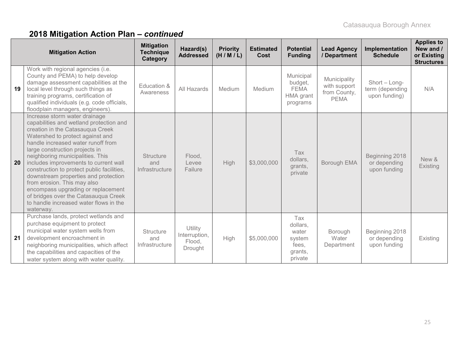|    | <b>Mitigation Action</b>                                                                                                                                                                                                                                                                                                                                                                                                                                                                                                                                        | <b>Mitigation</b><br><b>Technique</b><br>Category | Hazard(s)<br><b>Addressed</b>                        | <b>Priority</b><br>(H/M/L) | <b>Estimated</b><br>Cost | <b>Potential</b><br><b>Funding</b>                                | <b>Lead Agency</b><br>/ Department                          | Implementation<br><b>Schedule</b>                 | <b>Applies to</b><br>New and /<br>or Existing<br><b>Structures</b> |
|----|-----------------------------------------------------------------------------------------------------------------------------------------------------------------------------------------------------------------------------------------------------------------------------------------------------------------------------------------------------------------------------------------------------------------------------------------------------------------------------------------------------------------------------------------------------------------|---------------------------------------------------|------------------------------------------------------|----------------------------|--------------------------|-------------------------------------------------------------------|-------------------------------------------------------------|---------------------------------------------------|--------------------------------------------------------------------|
| 19 | Work with regional agencies (i.e.<br>County and PEMA) to help develop<br>damage assessment capabilities at the<br>local level through such things as<br>training programs, certification of<br>qualified individuals (e.g. code officials,<br>floodplain managers, engineers).                                                                                                                                                                                                                                                                                  | Education &<br>Awareness                          | All Hazards                                          | Medium                     | Medium                   | Municipal<br>budget,<br><b>FEMA</b><br>HMA grant<br>programs      | Municipality<br>with support<br>from County,<br><b>PEMA</b> | Short - Long-<br>term (depending<br>upon funding) | N/A                                                                |
| 20 | Increase storm water drainage<br>capabilities and wetland protection and<br>creation in the Catasauqua Creek<br>Watershed to protect against and<br>handle increased water runoff from<br>large construction projects in<br>neighboring municipalities. This<br>includes improvements to current wall<br>construction to protect public facilities,<br>downstream properties and protection<br>from erosion. This may also<br>encompass upgrading or replacement<br>of bridges over the Catasauqua Creek<br>to handle increased water flows in the<br>waterway. | <b>Structure</b><br>and<br>Infrastructure         | Flood,<br>Levee<br>Failure                           | High                       | \$3,000,000              | Tax<br>dollars,<br>grants,<br>private                             | Borough EMA                                                 | Beginning 2018<br>or depending<br>upon funding    | New &<br>Existing                                                  |
| 21 | Purchase lands, protect wetlands and<br>purchase equipment to protect<br>municipal water system wells from<br>development encroachment in<br>neighboring municipalities, which affect<br>the capabilities and capacities of the<br>water system along with water quality.                                                                                                                                                                                                                                                                                       | <b>Structure</b><br>and<br>Infrastructure         | Utility<br>Interruption,<br>Flood,<br><b>Drought</b> | High                       | \$5,000,000              | Tax<br>dollars,<br>water<br>system<br>fees,<br>grants,<br>private | <b>Borough</b><br>Water<br>Department                       | Beginning 2018<br>or depending<br>upon funding    | Existing                                                           |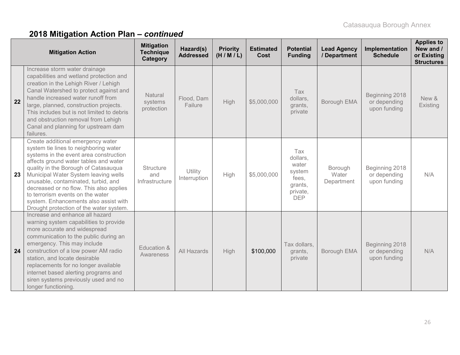|    | <b>Mitigation Action</b>                                                                                                                                                                                                                                                                                                                                                                                                                                | <b>Mitigation</b><br><b>Technique</b><br>Category | Hazard(s)<br><b>Addressed</b> | <b>Priority</b><br>(H/M/L) | <b>Estimated</b><br>Cost | <b>Potential</b><br><b>Funding</b>                                               | <b>Lead Agency</b><br>/ Department | Implementation<br><b>Schedule</b>              | <b>Applies to</b><br>New and /<br>or Existing<br><b>Structures</b> |
|----|---------------------------------------------------------------------------------------------------------------------------------------------------------------------------------------------------------------------------------------------------------------------------------------------------------------------------------------------------------------------------------------------------------------------------------------------------------|---------------------------------------------------|-------------------------------|----------------------------|--------------------------|----------------------------------------------------------------------------------|------------------------------------|------------------------------------------------|--------------------------------------------------------------------|
| 22 | Increase storm water drainage<br>capabilities and wetland protection and<br>creation in the Lehigh River / Lehigh<br>Canal Watershed to protect against and<br>handle increased water runoff from<br>large, planned, construction projects.<br>This includes but is not limited to debris<br>and obstruction removal from Lehigh<br>Canal and planning for upstream dam<br>failures.                                                                    | Natural<br>systems<br>protection                  | Flood, Dam<br>Failure         | High                       | \$5,000,000              | Tax<br>dollars,<br>grants,<br>private                                            | Borough EMA                        | Beginning 2018<br>or depending<br>upon funding | New &<br>Existing                                                  |
| 23 | Create additional emergency water<br>system tie lines to neighboring water<br>systems in the event area construction<br>affects ground water tables and water<br>quality in the Borough of Catasauqua<br>Municipal Water System leaving wells<br>unusable, contaminated, turbid, and<br>decreased or no flow. This also applies<br>to terrorism events on the water<br>system. Enhancements also assist with<br>Drought protection of the water system. | <b>Structure</b><br>and<br>Infrastructure         | Utility<br>Interruption       | High                       | \$5,000,000              | Tax<br>dollars,<br>water<br>system<br>fees,<br>grants,<br>private,<br><b>DEP</b> | Borough<br>Water<br>Department     | Beginning 2018<br>or depending<br>upon funding | N/A                                                                |
| 24 | Increase and enhance all hazard<br>warning system capabilities to provide<br>more accurate and widespread<br>communication to the public during an<br>emergency. This may include<br>construction of a low power AM radio<br>station, and locate desirable<br>replacements for no longer available<br>internet based alerting programs and<br>siren systems previously used and no<br>longer functioning.                                               | Education &<br>Awareness                          | All Hazards                   | High                       | \$100,000                | Tax dollars,<br>grants,<br>private                                               | Borough EMA                        | Beginning 2018<br>or depending<br>upon funding | N/A                                                                |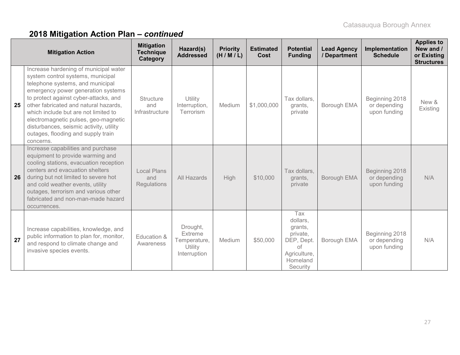|    | <b>Mitigation Action</b>                                                                                                                                                                                                                                                                                                                                                                                             | <b>Mitigation</b><br><b>Technique</b><br>Category | Hazard(s)<br><b>Addressed</b>                                  | <b>Priority</b><br>(H/M/L) | <b>Estimated</b><br>Cost | <b>Potential</b><br><b>Funding</b>                                                                 | <b>Lead Agency</b><br>/ Department | Implementation<br><b>Schedule</b>              | <b>Applies to</b><br>New and /<br>or Existing<br><b>Structures</b> |
|----|----------------------------------------------------------------------------------------------------------------------------------------------------------------------------------------------------------------------------------------------------------------------------------------------------------------------------------------------------------------------------------------------------------------------|---------------------------------------------------|----------------------------------------------------------------|----------------------------|--------------------------|----------------------------------------------------------------------------------------------------|------------------------------------|------------------------------------------------|--------------------------------------------------------------------|
| 25 | Increase hardening of municipal water<br>system control systems, municipal<br>telephone systems, and municipal<br>emergency power generation systems<br>to protect against cyber-attacks, and<br>other fabricated and natural hazards,<br>which include but are not limited to<br>electromagnetic pulses, geo-magnetic<br>disturbances, seismic activity, utility<br>outages, flooding and supply train<br>concerns. | <b>Structure</b><br>and<br>Infrastructure         | Utility<br>Interruption,<br>Terrorism                          | Medium                     | \$1,000,000              | Tax dollars,<br>grants,<br>private                                                                 | Borough EMA                        | Beginning 2018<br>or depending<br>upon funding | New &<br>Existing                                                  |
| 26 | Increase capabilities and purchase<br>equipment to provide warming and<br>cooling stations, evacuation reception<br>centers and evacuation shelters<br>during but not limited to severe hot<br>and cold weather events, utility<br>outages, terrorism and various other<br>fabricated and non-man-made hazard<br>occurrences.                                                                                        | <b>Local Plans</b><br>and<br><b>Regulations</b>   | All Hazards                                                    | High                       | \$10,000                 | Tax dollars,<br>grants,<br>private                                                                 | Borough EMA                        | Beginning 2018<br>or depending<br>upon funding | N/A                                                                |
| 27 | Increase capabilities, knowledge, and<br>public information to plan for, monitor,<br>and respond to climate change and<br>invasive species events.                                                                                                                                                                                                                                                                   | Education &<br>Awareness                          | Drought,<br>Extreme<br>Temperature,<br>Utility<br>Interruption | Medium                     | \$50,000                 | Tax<br>dollars,<br>grants,<br>private,<br>DEP, Dept.<br>of<br>Agriculture,<br>Homeland<br>Security | <b>Borough EMA</b>                 | Beginning 2018<br>or depending<br>upon funding | N/A                                                                |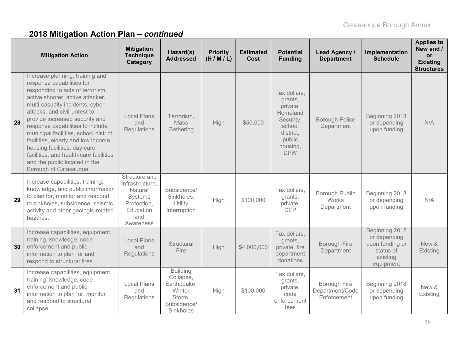|    | <b>Mitigation Action</b>                                                                                                                                                                                                                                                                                                                                                                                                                                                                           | <b>Mitigation</b><br><b>Technique</b><br>Category                                                      | Hazard(s)<br><b>Addressed</b>                                                               | <b>Priority</b><br>(H/M/L) | <b>Estimated</b><br>Cost | <b>Potential</b><br><b>Funding</b>                                                                                      | Lead Agency /<br><b>Department</b>             | Implementation<br><b>Schedule</b>                                                       | <b>Applies to</b><br>New and /<br><b>or</b><br><b>Existing</b><br><b>Structures</b> |
|----|----------------------------------------------------------------------------------------------------------------------------------------------------------------------------------------------------------------------------------------------------------------------------------------------------------------------------------------------------------------------------------------------------------------------------------------------------------------------------------------------------|--------------------------------------------------------------------------------------------------------|---------------------------------------------------------------------------------------------|----------------------------|--------------------------|-------------------------------------------------------------------------------------------------------------------------|------------------------------------------------|-----------------------------------------------------------------------------------------|-------------------------------------------------------------------------------------|
| 28 | Increase planning, training and<br>response capabilities for<br>responding to acts of terrorism,<br>active shooter, active attacker,<br>multi-casualty incidents, cyber-<br>attacks, and civil-unrest to<br>provide increased security and<br>response capabilities to include<br>municipal facilities, school district<br>facilities, elderly and low income<br>housing facilities, day-care<br>facilities, and health-care facilities<br>and the public located in the<br>Borough of Catasauqua. | <b>Local Plans</b><br>and<br>Regulations                                                               | Terrorism,<br><b>Mass</b><br>Gathering                                                      | <b>High</b>                | \$50,000                 | Tax dollars,<br>grants,<br>private,<br>Homeland<br>Security,<br>school<br>district,<br>public<br>housing,<br><b>DPW</b> | <b>Borough Police</b><br>Department            | Beginning 2018<br>or depending<br>upon funding                                          | N/A                                                                                 |
| 29 | Increase capabilities, training,<br>knowledge, and public information<br>to plan for, monitor and respond<br>to sinkholes, subsidence, seismic<br>activity and other geologic-related<br>hazards.                                                                                                                                                                                                                                                                                                  | Structure and<br>Infrastructure,<br>Natural<br>Systems<br>Protection,<br>Education<br>and<br>Awareness | Subsidence/<br>Sinkholes,<br>Utility<br>Interruption                                        | High                       | \$100,000                | Tax dollars,<br>grants,<br>private,<br><b>DEP</b>                                                                       | <b>Borough Public</b><br>Works<br>Department   | Beginning 2018<br>or depending<br>upon funding                                          | N/A                                                                                 |
| 30 | Increase capabilities, equipment,<br>training, knowledge, code<br>enforcement and public<br>information to plan for and<br>respond to structural fires.                                                                                                                                                                                                                                                                                                                                            | <b>Local Plans</b><br>and<br>Regulations                                                               | Structural<br>Fire                                                                          | High                       | \$4,000,000              | Tax dollars,<br>grants,<br>private, fire<br>department<br>donations                                                     | <b>Borough Fire</b><br>Department              | Beginning 2018<br>or depending<br>upon funding or<br>status of<br>existing<br>equipment | New &<br>Existing                                                                   |
| 31 | Increase capabilities, equipment,<br>training, knowledge, code<br>enforcement and public<br>information to plan for, monitor<br>and respond to structural<br>collapse.                                                                                                                                                                                                                                                                                                                             | <b>Local Plans</b><br>and<br><b>Regulations</b>                                                        | <b>Building</b><br>Collapse,<br>Earthquake,<br>Winter<br>Storm,<br>Subsidence/<br>Sinkholes | High                       | \$100,000                | Tax dollars,<br>grants,<br>private,<br>code<br>enforcement<br>fees                                                      | Borough Fire<br>Department/Code<br>Enforcement | Beginning 2018<br>or depending<br>upon funding                                          | New &<br>Existing                                                                   |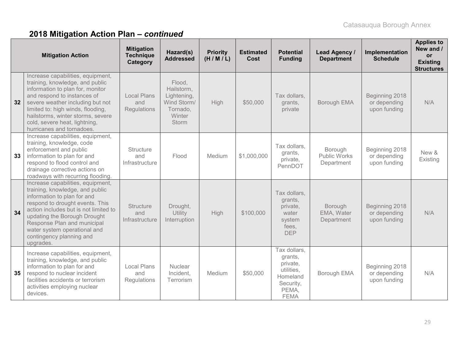|    | <b>Mitigation Action</b>                                                                                                                                                                                                                                                                                                | <b>Mitigation</b><br><b>Technique</b><br>Category | Hazard(s)<br><b>Addressed</b>                                                            | <b>Priority</b><br>(H/M/L) | <b>Estimated</b><br>Cost | <b>Potential</b><br><b>Funding</b>                                                                 | Lead Agency /<br><b>Department</b>           | Implementation<br><b>Schedule</b>              | <b>Applies to</b><br>New and /<br><b>or</b><br><b>Existing</b><br><b>Structures</b> |
|----|-------------------------------------------------------------------------------------------------------------------------------------------------------------------------------------------------------------------------------------------------------------------------------------------------------------------------|---------------------------------------------------|------------------------------------------------------------------------------------------|----------------------------|--------------------------|----------------------------------------------------------------------------------------------------|----------------------------------------------|------------------------------------------------|-------------------------------------------------------------------------------------|
| 32 | Increase capabilities, equipment,<br>training, knowledge, and public<br>information to plan for, monitor<br>and respond to instances of<br>severe weather including but not<br>limited to: high winds, flooding,<br>hailstorms, winter storms, severe<br>cold, severe heat, lightning,<br>hurricanes and tornadoes.     | <b>Local Plans</b><br>and<br>Regulations          | Flood,<br>Hailstorm,<br>Lightening,<br>Wind Storm/<br>Tornado,<br>Winter<br><b>Storm</b> | High                       | \$50,000                 | Tax dollars,<br>grants,<br>private                                                                 | Borough EMA                                  | Beginning 2018<br>or depending<br>upon funding | N/A                                                                                 |
| 33 | Increase capabilities, equipment,<br>training, knowledge, code<br>enforcement and public<br>information to plan for and<br>respond to flood control and<br>drainage corrective actions on<br>roadways with recurring flooding.                                                                                          | <b>Structure</b><br>and<br>Infrastructure         | Flood                                                                                    | Medium                     | \$1,000,000              | Tax dollars,<br>grants,<br>private,<br>PennDOT                                                     | Borough<br><b>Public Works</b><br>Department | Beginning 2018<br>or depending<br>upon funding | New &<br>Existing                                                                   |
| 34 | Increase capabilities, equipment,<br>training, knowledge, and public<br>information to plan for and<br>respond to drought events. This<br>action includes but is not limited to<br>updating the Borough Drought<br>Response Plan and municipal<br>water system operational and<br>contingency planning and<br>upgrades. | <b>Structure</b><br>and<br>Infrastructure         | Drought,<br>Utility<br>Interruption                                                      | High                       | \$100,000                | Tax dollars,<br>grants,<br>private,<br>water<br>system<br>fees,<br><b>DEP</b>                      | Borough<br>EMA, Water<br>Department          | Beginning 2018<br>or depending<br>upon funding | N/A                                                                                 |
| 35 | Increase capabilities, equipment,<br>training, knowledge, and public<br>information to plan for and<br>respond to nuclear incident<br>facilities accidents or terrorism<br>activities employing nuclear<br>devices.                                                                                                     | Local Plans<br>and<br>Regulations                 | Nuclear<br>Incident,<br>Terrorism                                                        | Medium                     | \$50,000                 | Tax dollars,<br>grants,<br>private,<br>utilities,<br>Homeland<br>Security,<br>PEMA,<br><b>FEMA</b> | Borough EMA                                  | Beginning 2018<br>or depending<br>upon funding | N/A                                                                                 |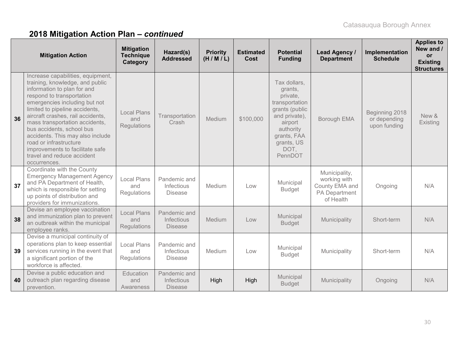|    | <b>Mitigation Action</b>                                                                                                                                                                                                                                                                                                                                                                                                                               | <b>Mitigation</b><br><b>Technique</b><br>Category | Hazard(s)<br><b>Addressed</b>                       | <b>Priority</b><br>(H/M/L) | <b>Estimated</b><br>Cost | <b>Potential</b><br><b>Funding</b>                                                                                                                               | <b>Lead Agency /</b><br><b>Department</b>                                     | Implementation<br><b>Schedule</b>              | <b>Applies to</b><br>New and /<br>or<br><b>Existing</b><br><b>Structures</b> |
|----|--------------------------------------------------------------------------------------------------------------------------------------------------------------------------------------------------------------------------------------------------------------------------------------------------------------------------------------------------------------------------------------------------------------------------------------------------------|---------------------------------------------------|-----------------------------------------------------|----------------------------|--------------------------|------------------------------------------------------------------------------------------------------------------------------------------------------------------|-------------------------------------------------------------------------------|------------------------------------------------|------------------------------------------------------------------------------|
| 36 | Increase capabilities, equipment,<br>training, knowledge, and public<br>information to plan for and<br>respond to transportation<br>emergencies including but not<br>limited to pipeline accidents,<br>aircraft crashes, rail accidents,<br>mass transportation accidents,<br>bus accidents, school bus<br>accidents. This may also include<br>road or infrastructure<br>improvements to facilitate safe<br>travel and reduce accident<br>occurrences. | <b>Local Plans</b><br>and<br><b>Regulations</b>   | Transportation<br>Crash                             | Medium                     | \$100,000                | Tax dollars,<br>grants,<br>private,<br>transportation<br>grants (public<br>and private),<br>airport<br>authority<br>grants, FAA<br>grants, US<br>DOT,<br>PennDOT | Borough EMA                                                                   | Beginning 2018<br>or depending<br>upon funding | New &<br>Existing                                                            |
| 37 | Coordinate with the County<br><b>Emergency Management Agency</b><br>and PA Department of Health,<br>which is responsible for setting<br>up points of distribution and<br>providers for immunizations.                                                                                                                                                                                                                                                  | <b>Local Plans</b><br>and<br><b>Regulations</b>   | Pandemic and<br><b>Infectious</b><br><b>Disease</b> | Medium                     | Low                      | Municipal<br><b>Budget</b>                                                                                                                                       | Municipality,<br>working with<br>County EMA and<br>PA Department<br>of Health | Ongoing                                        | N/A                                                                          |
| 38 | Devise an employee vaccination<br>and immunization plan to prevent<br>an outbreak within the municipal<br>employee ranks.                                                                                                                                                                                                                                                                                                                              | <b>Local Plans</b><br>and<br><b>Regulations</b>   | Pandemic and<br>Infectious<br><b>Disease</b>        | Medium                     | Low                      | Municipal<br><b>Budget</b>                                                                                                                                       | Municipality                                                                  | Short-term                                     | N/A                                                                          |
| 39 | Devise a municipal continuity of<br>operations plan to keep essential<br>services running in the event that<br>a significant portion of the<br>workforce is affected.                                                                                                                                                                                                                                                                                  | <b>Local Plans</b><br>and<br>Regulations          | Pandemic and<br>Infectious<br><b>Disease</b>        | Medium                     | Low                      | Municipal<br><b>Budget</b>                                                                                                                                       | Municipality                                                                  | Short-term                                     | N/A                                                                          |
| 40 | Devise a public education and<br>outreach plan regarding disease<br>prevention.                                                                                                                                                                                                                                                                                                                                                                        | Education<br>and<br>Awareness                     | Pandemic and<br>Infectious<br><b>Disease</b>        | High                       | High                     | Municipal<br><b>Budget</b>                                                                                                                                       | Municipality                                                                  | Ongoing                                        | N/A                                                                          |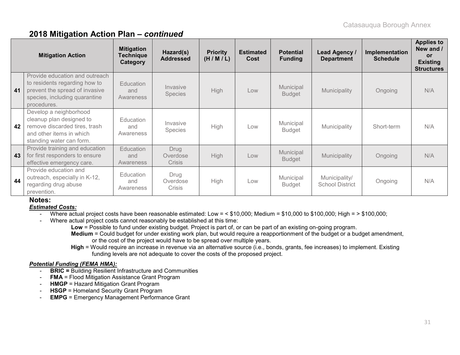|    | <b>Mitigation Action</b>                                                                                                                          | <b>Mitigation</b><br>Technique<br>Category | Hazard(s)<br><b>Addressed</b>     | <b>Priority</b><br>(H/M/L) | <b>Estimated</b><br>Cost | <b>Potential</b><br><b>Funding</b> | Lead Agency /<br><b>Department</b>      | Implementation<br><b>Schedule</b> | <b>Applies to</b><br>New and /<br><b>or</b><br><b>Existing</b><br><b>Structures</b> |
|----|---------------------------------------------------------------------------------------------------------------------------------------------------|--------------------------------------------|-----------------------------------|----------------------------|--------------------------|------------------------------------|-----------------------------------------|-----------------------------------|-------------------------------------------------------------------------------------|
| 41 | Provide education and outreach<br>to residents regarding how to<br>prevent the spread of invasive<br>species, including quarantine<br>procedures. | <b>Education</b><br>and<br>Awareness       | Invasive<br><b>Species</b>        | High                       | Low                      | Municipal<br><b>Budget</b>         | Municipality                            | Ongoing                           | N/A                                                                                 |
| 42 | Develop a neighborhood<br>cleanup plan designed to<br>remove discarded tires, trash<br>and other items in which<br>standing water can form.       | Education<br>and<br>Awareness              | Invasive<br><b>Species</b>        | <b>High</b>                | Low                      | Municipal<br><b>Budget</b>         | Municipality                            | Short-term                        | N/A                                                                                 |
| 43 | Provide training and education<br>for first responders to ensure<br>effective emergency care.                                                     | Education<br>and<br>Awareness              | Drug<br>Overdose<br><b>Crisis</b> | <b>High</b>                | Low                      | <b>Municipal</b><br><b>Budget</b>  | Municipality                            | Ongoing                           | N/A                                                                                 |
| 44 | Provide education and<br>outreach, especially in K-12,<br>regarding drug abuse<br>prevention.                                                     | Education<br>and<br>Awareness              | Drug<br>Overdose<br>Crisis        | <b>High</b>                | Low                      | Municipal<br><b>Budget</b>         | Municipality/<br><b>School District</b> | Ongoing                           | N/A                                                                                 |

**Notes:**

*Estimated Costs:*

- Where actual project costs have been reasonable estimated: Low = < \$10,000; Medium = \$10,000 to \$100,000; High = > \$100,000;

- Where actual project costs cannot reasonably be established at this time:

**Low** = Possible to fund under existing budget. Project is part of, or can be part of an existing on-going program.

**Medium** = Could budget for under existing work plan, but would require a reapportionment of the budget or a budget amendment, or the cost of the project would have to be spread over multiple years.

**High** = Would require an increase in revenue via an alternative source (i.e., bonds, grants, fee increases) to implement. Existing funding levels are not adequate to cover the costs of the proposed project.

#### *Potential Funding (FEMA HMA):*

- **BRIC =** Building Resilient Infrastructure and Communities
- **FMA** = Flood Mitigation Assistance Grant Program
- **HMGP** = Hazard Mitigation Grant Program
- **HSGP** = Homeland Security Grant Program
- **EMPG** = Emergency Management Performance Grant